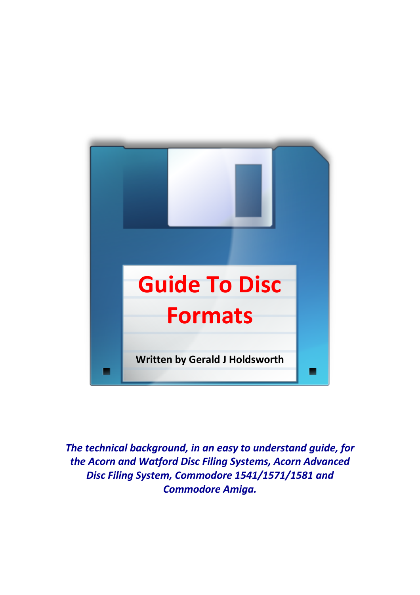

*The technical background, in an easy to understand guide, for the Acorn and Watford Disc Filing Systems, Acorn Advanced Disc Filing System, Commodore 1541/1571/1581 and Commodore Amiga.*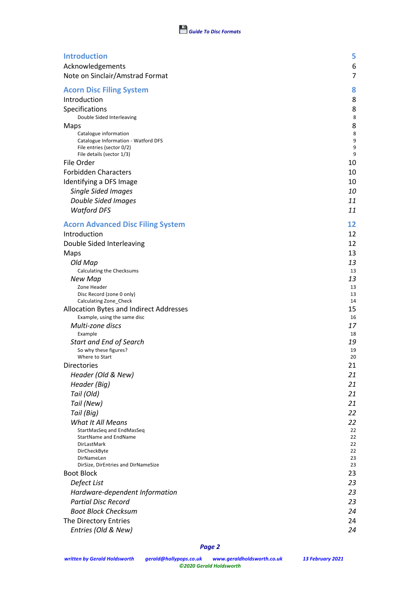| <b>Introduction</b>                                    | 5                   |
|--------------------------------------------------------|---------------------|
| Acknowledgements                                       | 6<br>$\overline{7}$ |
| Note on Sinclair/Amstrad Format                        |                     |
| <b>Acorn Disc Filing System</b>                        | 8                   |
| Introduction                                           | 8                   |
| Specifications                                         | 8                   |
| Double Sided Interleaving                              | 8                   |
| Maps<br>Catalogue information                          | 8<br>8              |
| Catalogue Information - Watford DFS                    | 9                   |
| File entries (sector 0/2)<br>File details (sector 1/3) | 9<br>9              |
| File Order                                             | 10                  |
| <b>Forbidden Characters</b>                            | 10                  |
| Identifying a DFS Image                                | 10                  |
| <b>Single Sided Images</b>                             | 10                  |
| Double Sided Images                                    | 11                  |
| <b>Watford DFS</b>                                     | 11                  |
| <b>Acorn Advanced Disc Filing System</b>               | 12                  |
| Introduction                                           | 12                  |
| Double Sided Interleaving                              | 12                  |
| Maps                                                   | 13                  |
| Old Map                                                | 13                  |
| Calculating the Checksums                              | 13                  |
| New Map                                                | 13                  |
| Zone Header<br>Disc Record (zone 0 only)               | 13<br>13            |
| Calculating Zone_Check                                 | 14                  |
| Allocation Bytes and Indirect Addresses                | 15                  |
| Example, using the same disc                           | 16                  |
| Multi-zone discs                                       | 17                  |
| Example<br>Start and End of Search                     | 18<br>19            |
| So why these figures?                                  | 19                  |
| Where to Start                                         | 20                  |
| <b>Directories</b>                                     | 21                  |
| Header (Old & New)                                     | 21                  |
| Header (Big)                                           | 21                  |
| Tail (Old)                                             | 21                  |
| Tail (New)                                             | 21                  |
| Tail (Big)                                             | 22                  |
| <b>What It All Means</b><br>StartMasSeq and EndMasSeq  | 22<br>22            |
| <b>StartName and EndName</b>                           | 22                  |
| DirLastMark                                            | 22                  |
| DirCheckByte<br>DirNameLen                             | 22<br>23            |
| DirSize, DirEntries and DirNameSize                    | 23                  |
| <b>Boot Block</b>                                      | 23                  |
| Defect List                                            | 23                  |
| Hardware-dependent Information                         | 23                  |
| <b>Partial Disc Record</b>                             | 23                  |
| <b>Boot Block Checksum</b>                             | 24                  |
| The Directory Entries                                  | 24                  |
| Entries (Old & New)                                    | 24                  |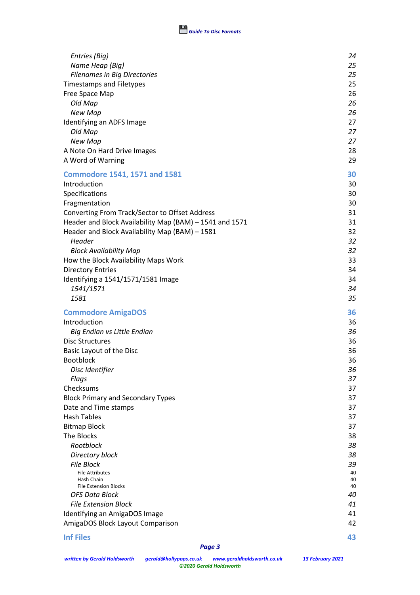

| Entries (Big)                                                     | 24       |
|-------------------------------------------------------------------|----------|
| Name Heap (Big)                                                   | 25       |
| <b>Filenames in Big Directories</b>                               | 25       |
| <b>Timestamps and Filetypes</b>                                   | 25       |
| Free Space Map                                                    | 26       |
| Old Map                                                           | 26<br>26 |
| New Map<br>Identifying an ADFS Image                              | 27       |
| Old Map                                                           | 27       |
| New Map                                                           | 27       |
| A Note On Hard Drive Images                                       | 28       |
| A Word of Warning                                                 | 29       |
|                                                                   |          |
| <b>Commodore 1541, 1571 and 1581</b>                              | 30       |
| Introduction                                                      | 30       |
| Specifications                                                    | 30       |
| Fragmentation                                                     | 30       |
| Converting From Track/Sector to Offset Address                    | 31       |
| Header and Block Availability Map (BAM) - 1541 and 1571           | 31<br>32 |
| Header and Block Availability Map (BAM) - 1581<br>Header          | 32       |
| <b>Block Availability Map</b>                                     | 32       |
| How the Block Availability Maps Work                              | 33       |
| <b>Directory Entries</b>                                          | 34       |
| Identifying a 1541/1571/1581 Image                                | 34       |
| 1541/1571                                                         | 34       |
| 1581                                                              | 35       |
| <b>Commodore AmigaDOS</b>                                         | 36       |
| Introduction                                                      | 36       |
| Big Endian vs Little Endian                                       | 36       |
| <b>Disc Structures</b>                                            | 36       |
| Basic Layout of the Disc                                          | 36       |
| <b>Bootblock</b>                                                  | 36       |
| Disc Identifier                                                   | 36       |
| Flags                                                             | 37       |
| Checksums                                                         | 37       |
| <b>Block Primary and Secondary Types</b>                          | 37       |
| Date and Time stamps                                              | 37       |
| <b>Hash Tables</b>                                                | 37       |
| <b>Bitmap Block</b>                                               | 37       |
| The Blocks<br>Rootblock                                           | 38       |
|                                                                   | 38       |
| Directory block<br><b>File Block</b>                              | 38       |
|                                                                   | 39<br>40 |
| <b>File Attributes</b>                                            | 40       |
| Hash Chain                                                        | 40       |
| <b>File Extension Blocks</b>                                      | 40       |
| <b>OFS Data Block</b>                                             |          |
| <b>File Extension Block</b>                                       | 41       |
| Identifying an AmigaDOS Image<br>AmigaDOS Block Layout Comparison | 41<br>42 |

### **Inf Files 43**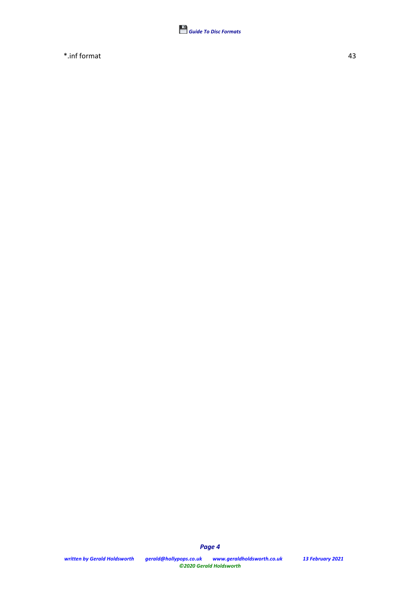

\*.inf format 43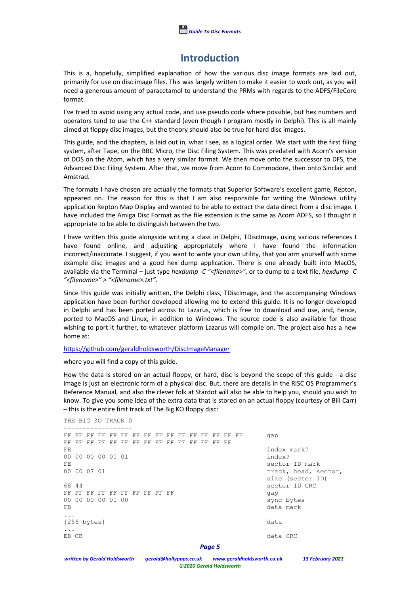# **Introduction**

This is a, hopefully, simplified explanation of how the various disc image formats are laid out, primarily for use on disc image files. This was largely written to make it easier to work out, as you will need a generous amount of paracetamol to understand the PRMs with regards to the ADFS/FileCore format.

I've tried to avoid using any actual code, and use pseudo code where possible, but hex numbers and operators tend to use the C++ standard (even though I program mostly in Delphi). This is all mainly aimed at floppy disc images, but the theory should also be true for hard disc images.

This guide, and the chapters, is laid out in, what I see, as a logical order. We start with the first filing system, after Tape, on the BBC Micro, the Disc Filing System. This was predated with Acorn's version of DOS on the Atom, which has a very similar format. We then move onto the successor to DFS, the Advanced Disc Filing System. After that, we move from Acorn to Commodore, then onto Sinclair and Amstrad.

The formats I have chosen are actually the formats that Superior Software's excellent game, Repton, appeared on. The reason for this is that I am also responsible for writing the Windows utility application Repton Map Display and wanted to be able to extract the data direct from a disc image. I have included the Amiga Disc Format as the file extension is the same as Acorn ADFS, so I thought it appropriate to be able to distinguish between the two.

I have written this guide alongside writing a class in Delphi, TDiscImage, using various references I have found online, and adjusting appropriately where I have found the information incorrect/inaccurate. I suggest, if you want to write your own utility, that you arm yourself with some example disc images and a good hex dump application. There is one already built into MacOS, available via the Terminal – just type *hexdump -C "<filename>"*, or to dump to a text file, *hexdump -C "<filename>" > "<filename>.txt".*

Since this guide was initially written, the Delphi class, TDiscImage, and the accompanying Windows application have been further developed allowing me to extend this guide. It is no longer developed in Delphi and has been ported across to Lazarus, which is free to download and use, and, hence, ported to MacOS and Linux, in addition to Windows. The source code is also available for those wishing to port it further, to whatever platform Lazarus will compile on. The project also has a new home at:

#### https://github.com/geraldholdsworth/DiscImageManager

where you will find a copy of this guide.

How the data is stored on an actual floppy, or hard, disc is beyond the scope of this guide - a disc image is just an electronic form of a physical disc. But, there are details in the RISC OS Programmer's Reference Manual, and also the clever folk at Stardot will also be able to help you, should you wish to know. To give you some idea of the extra data that is stored on an actual floppy (courtesy of Bill Carr) – this is the entire first track of The Big KO floppy disc:

```
Page 5
THE BIG KO TRACK 0
------------------
FF FF FF FF FF FF FF FF FF FF FF FF FF FF FF FF gap
FF FF FF FF FF FF FF FF FF FF FF FF FF FF FF
FE index mark?
00 00 00 00 00 01 index?
FE sector ID mark<br>00 00 07 01 sector 1D mark<br>track, head, sector 10
                                   track, head, sector,
                                   size (sector ID)
68 44 sector ID CRC
FF FF FF FF FF FF FF FF FF FF Gap
00 00 00 00 00 00 sync bytes
                                   data mark
...
[256 bytes] data
\ldots<br>ER CR
                                   data CRC
```
*written by Gerald Holdsworth gerald@hollypops.co.uk www.geraldholdsworth.co.uk 13 February 2021 ©2020 Gerald Holdsworth*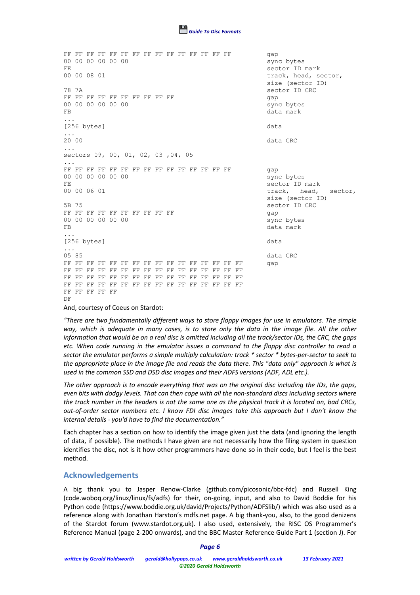

FF FF FF FF FF FF FF FF FF FF FF FF FF FF FF gap 00 00 00 00 00 00 FE sector ID mark track, head, sector, size (sector ID) 78 7A sector ID CRC FF FF FF FF FF FF FF FF FF FF FF Gap 00 00 00 00 00 00 sync bytes FB data mark and the set of the set of the set of the set of the set of the set of the set of the set of the set of the set of the set of the set of the set of the set of the set of the set of the set of the set of the set ... [256 bytes] data ... 20 00 data CRC ... sectors 09, 00, 01, 02, 03 ,04, 05 ... FF FF FF FF FF FF FF FF FF FF FF FF FF FF FF gap 00 00 00 00 00 00 sync bytes FE SECTED MARK SECTED MARK ON 0.000 06 01 00 00 06 01 track, head, sector, size (sector ID) 5B 75 sector ID CRC FF FF FF FF FF FF FF FF FF FF Gap 00 00 00 00 00 00 sync bytes FB data mark ... [256 bytes] data ... 05 85 data CRC FF FF FF FF FF FF FF FF FF FF FF FF FF FF FF FF gap FF FF FF FF FF FF FF FF FF FF FF FF FF FF FF FF FF FF FF FF FF FF FF FF FF FF FF FF FF FF FF FF FF FF FF FF FF FF FF FF FF FF FF FF FF FF FF FF FF FF FF FF FF DF

And, courtesy of Coeus on Stardot:

*"There are two fundamentally different ways to store floppy images for use in emulators. The simple*  way, which is adequate in many cases, is to store only the data in the image file. All the other *information that would be on a real disc is omitted including all the track/sector IDs, the CRC, the gaps etc. When code running in the emulator issues a command to the floppy disc controller to read a sector the emulator performs a simple multiply calculation: track \* sector \* bytes-per-sector to seek to the appropriate place in the image file and reads the data there. This "data only" approach is what is used in the common SSD and DSD disc images and their ADFS versions (ADF, ADL etc.).*

*The other approach is to encode everything that was on the original disc including the IDs, the gaps, even bits with dodgy levels. That can then cope with all the non-standard discs including sectors where the track number in the headers is not the same one as the physical track it is located on, bad CRCs, out-of-order sector numbers etc. I know FDI disc images take this approach but I don't know the internal details - you'd have to find the documentation."*

Each chapter has a section on how to identify the image given just the data (and ignoring the length of data, if possible). The methods I have given are not necessarily how the filing system in question identifies the disc, not is it how other programmers have done so in their code, but I feel is the best method.

## **Acknowledgements**

A big thank you to Jasper Renow-Clarke (github.com/picosonic/bbc-fdc) and Russell King (code.woboq.org/linux/linux/fs/adfs) for their, on-going, input, and also to David Boddie for his Python code (https://www.boddie.org.uk/david/Projects/Python/ADFSlib/) which was also used as a reference along with Jonathan Harston's mdfs.net page. A big thank-you, also, to the good denizens of the Stardot forum (www.stardot.org.uk). I also used, extensively, the RISC OS Programmer's Reference Manual (page 2-200 onwards), and the BBC Master Reference Guide Part 1 (section J). For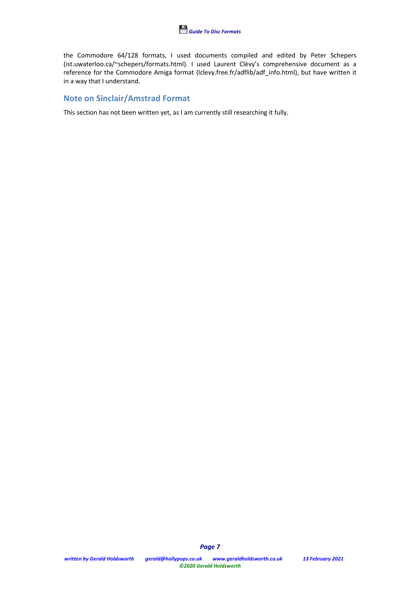

the Commodore 64/128 formats, I used documents compiled and edited by Peter Schepers (ist.uwaterloo.ca/~schepers/formats.html). I used Laurent Clèvy's comprehensive document as a reference for the Commodore Amiga format (lclevy.free.fr/adflib/adf\_info.html), but have written it in a way that I understand.

# **Note on Sinclair/Amstrad Format**

This section has not been written yet, as I am currently still researching it fully.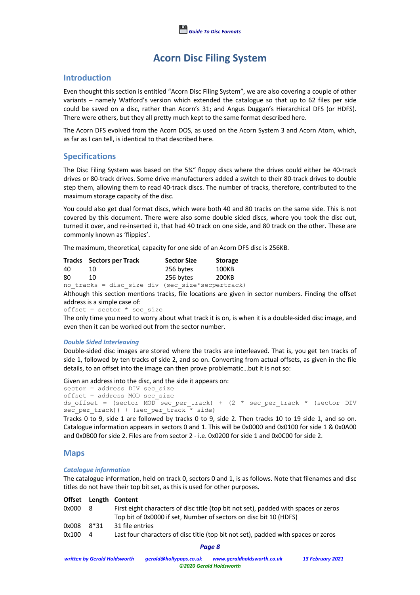# **Acorn Disc Filing System**

# **Introduction**

Even thought this section is entitled "Acorn Disc Filing System", we are also covering a couple of other variants – namely Watford's version which extended the catalogue so that up to 62 files per side could be saved on a disc, rather than Acorn's 31; and Angus Duggan's Hierarchical DFS (or HDFS). There were others, but they all pretty much kept to the same format described here.

The Acorn DFS evolved from the Acorn DOS, as used on the Acorn System 3 and Acorn Atom, which, as far as I can tell, is identical to that described here.

# **Specifications**

The Disc Filing System was based on the 5¼" floppy discs where the drives could either be 40-track drives or 80-track drives. Some drive manufacturers added a switch to their 80-track drives to double step them, allowing them to read 40-track discs. The number of tracks, therefore, contributed to the maximum storage capacity of the disc.

You could also get dual format discs, which were both 40 and 80 tracks on the same side. This is not covered by this document. There were also some double sided discs, where you took the disc out, turned it over, and re-inserted it, that had 40 track on one side, and 80 track on the other. These are commonly known as 'flippies'.

The maximum, theoretical, capacity for one side of an Acorn DFS disc is 256KB.

|    | <b>Tracks</b> Sectors per Track |  |  |           | <b>Sector Size</b> | <b>Storage</b>                                   |
|----|---------------------------------|--|--|-----------|--------------------|--------------------------------------------------|
| 40 | 10                              |  |  | 256 bytes |                    | 100KB                                            |
| 80 | 10                              |  |  | 256 bytes |                    | 200KB                                            |
|    |                                 |  |  |           |                    | no tracks = disc size div (sec size*secpertrack) |

Although this section mentions tracks, file locations are given in sector numbers. Finding the offset address is a simple case of:

 $offset = sector * sec_size$ 

The only time you need to worry about what track it is on, is when it is a double-sided disc image, and even then it can be worked out from the sector number.

#### *Double Sided Interleaving*

Double-sided disc images are stored where the tracks are interleaved. That is, you get ten tracks of side 1, followed by ten tracks of side 2, and so on. Converting from actual offsets, as given in the file details, to an offset into the image can then prove problematic…but it is not so:

Given an address into the disc, and the side it appears on:

```
sector = address DIV sec size
offset = address MOD sec_size
ds offset = (sector MOD sec per track) + (2 * sec_per_track * (sector DIV
sec per track)) + (sec per track * side)
```
Tracks 0 to 9, side 1 are followed by tracks 0 to 9, side 2. Then tracks 10 to 19 side 1, and so on. Catalogue information appears in sectors 0 and 1. This will be 0x0000 and 0x0100 for side 1 & 0x0A00 and 0x0B00 for side 2. Files are from sector 2 - i.e. 0x0200 for side 1 and 0x0C00 for side 2.

## **Maps**

#### *Catalogue information*

The catalogue information, held on track 0, sectors 0 and 1, is as follows. Note that filenames and disc titles do not have their top bit set, as this is used for other purposes.

|       |      | Offset Length Content                                                               |
|-------|------|-------------------------------------------------------------------------------------|
| 0x000 | - 8  | First eight characters of disc title (top bit not set), padded with spaces or zeros |
|       |      | Top bit of 0x0000 if set, Number of sectors on disc bit 10 (HDFS)                   |
| 0x008 | 8*31 | 31 file entries                                                                     |
| 0x100 | 4    | Last four characters of disc title (top bit not set), padded with spaces or zeros   |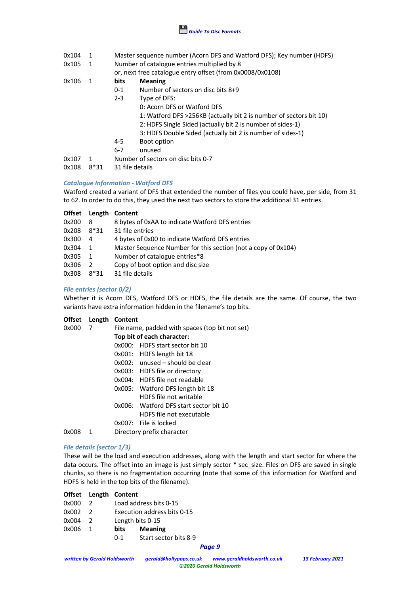

0x104 1 Master sequence number (Acorn DFS and Watford DFS); Key number (HDFS)

0x105 1 Number of catalogue entries multiplied by 8

or, next free catalogue entry offset (from 0x0008/0x0108)

0x106 1 **bits Meaning**

- 0-1 Number of sectors on disc bits 8+9
- 2-3 Type of DFS:
	- 0: Acorn DFS or Watford DFS
		- 1: Watford DFS >256KB (actually bit 2 is number of sectors bit 10)
		- 2: HDFS Single Sided (actually bit 2 is number of sides-1)
		- 3: HDFS Double Sided (actually bit 2 is number of sides-1)
- 4-5 Boot option
- 6-7 unused
- 0x107 1 Number of sectors on disc bits 0-7
- 0x108 8\*31 31 file details

### *Catalogue Information - Watford DFS*

Watford created a variant of DFS that extended the number of files you could have, per side, from 31 to 62. In order to do this, they used the next two sectors to store the additional 31 entries.

| <b>Offset</b> | Length        | Content                                                       |
|---------------|---------------|---------------------------------------------------------------|
| 0x200         | 8             | 8 bytes of 0xAA to indicate Watford DFS entries               |
| 0x208         | $8*31$        | 31 file entries                                               |
| 0x300         | 4             | 4 bytes of 0x00 to indicate Watford DFS entries               |
| 0x304         | 1             | Master Sequence Number for this section (not a copy of 0x104) |
| 0x305         | $\mathbf{1}$  | Number of catalogue entries*8                                 |
| 0x306         | $\mathcal{L}$ | Copy of boot option and disc size                             |
| 0x308         | $8*31$        | 31 file details                                               |

### *File entries (sector 0/2)*

Whether it is Acorn DFS, Watford DFS or HDFS, the file details are the same. Of course, the two variants have extra information hidden in the filename's top bits.

|  |  | Offset Length Content |
|--|--|-----------------------|
|--|--|-----------------------|

| 0x000 |   | File name, padded with spaces (top bit not set) |
|-------|---|-------------------------------------------------|
|       |   | Top bit of each character:                      |
|       |   | HDFS start sector bit 10<br>0x000:              |
|       |   | 0x001: HDFS length bit 18                       |
|       |   | $0x002$ : unused – should be clear              |
|       |   | 0x003: HDFS file or directory                   |
|       |   | 0x004: HDFS file not readable                   |
|       |   | Watford DFS length bit 18<br>0x005:             |
|       |   | HDFS file not writable                          |
|       |   | 0x006: Watford DFS start sector bit 10          |
|       |   | HDFS file not executable                        |
|       |   | 0x007: File is locked                           |
| 0x008 | 1 | Directory prefix character                      |
|       |   |                                                 |

## *File details (sector 1/3)*

These will be the load and execution addresses, along with the length and start sector for where the data occurs. The offset into an image is just simply sector \* sec\_size. Files on DFS are saved in single chunks, so there is no fragmentation occurring (note that some of this information for Watford and HDFS is held in the top bits of the filename).

| Offset Length Content |  |
|-----------------------|--|
|-----------------------|--|

- 0x000 2 Load address bits 0-15
- 0x002 2 Execution address bits 0-15
- 0x004 2 Length bits 0-15
- 0x006 1 **bits Meaning**
	- 0-1 Start sector bits 8-9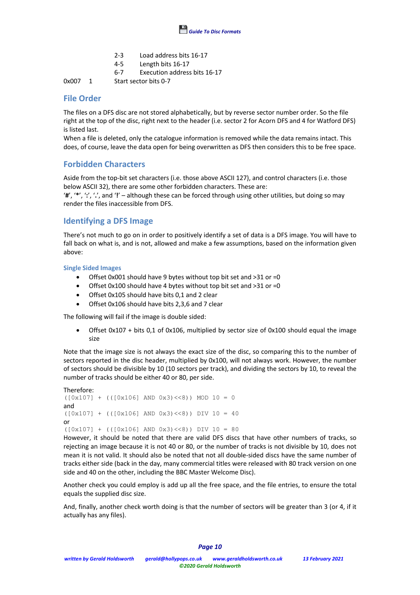

- 2-3 Load address bits 16-17
- 4-5 Length bits 16-17
- 6-7 Execution address bits 16-17

0x007 1 Start sector bits 0-7

# **File Order**

The files on a DFS disc are not stored alphabetically, but by reverse sector number order. So the file right at the top of the disc, right next to the header (i.e. sector 2 for Acorn DFS and 4 for Watford DFS) is listed last.

When a file is deleted, only the catalogue information is removed while the data remains intact. This does, of course, leave the data open for being overwritten as DFS then considers this to be free space.

# **Forbidden Characters**

Aside from the top-bit set characters (i.e. those above ASCII 127), and control characters (i.e. those below ASCII 32), there are some other forbidden characters. These are:

'**#**', '**\***', '**:**', '**.**', and '**!**' – although these can be forced through using other utilities, but doing so may render the files inaccessible from DFS.

# **Identifying a DFS Image**

There's not much to go on in order to positively identify a set of data is a DFS image. You will have to fall back on what is, and is not, allowed and make a few assumptions, based on the information given above:

**Single Sided Images**

- Offset 0x001 should have 9 bytes without top bit set and >31 or =0
- Offset 0x100 should have 4 bytes without top bit set and >31 or =0
- Offset 0x105 should have bits 0,1 and 2 clear
- Offset 0x106 should have bits 2,3,6 and 7 clear

The following will fail if the image is double sided:

Offset 0x107 + bits 0,1 of 0x106, multiplied by sector size of 0x100 should equal the image size

Note that the image size is not always the exact size of the disc, so comparing this to the number of sectors reported in the disc header, multiplied by 0x100, will not always work. However, the number of sectors should be divisible by 10 (10 sectors per track), and dividing the sectors by 10, to reveal the number of tracks should be either 40 or 80, per side.

```
Therefore:
([0x107] + ((0x106) AND 0x3) \ll 8)) MOD 10 = 0
and
([0x107] + ((0x106) \text{ AND } 0x3) \ll 8)) DIV 10 = 40
or
([0x107] + (([0x106] \text{ AND } 0x3) \ll 8)) DIV 10 = 80
```
However, it should be noted that there are valid DFS discs that have other numbers of tracks, so rejecting an image because it is not 40 or 80, or the number of tracks is not divisible by 10, does not mean it is not valid. It should also be noted that not all double-sided discs have the same number of tracks either side (back in the day, many commercial titles were released with 80 track version on one side and 40 on the other, including the BBC Master Welcome Disc).

Another check you could employ is add up all the free space, and the file entries, to ensure the total equals the supplied disc size.

And, finally, another check worth doing is that the number of sectors will be greater than 3 (or 4, if it actually has any files).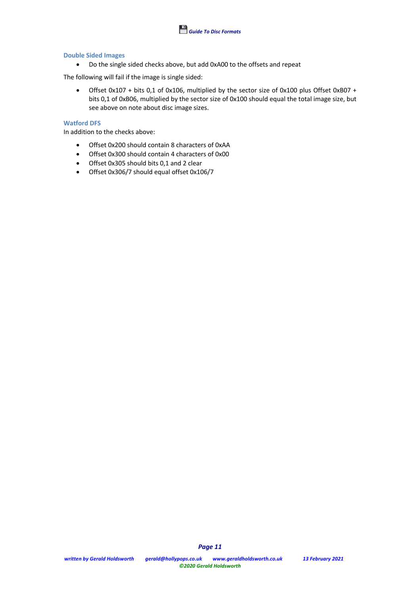

#### **Double Sided Images**

• Do the single sided checks above, but add 0xA00 to the offsets and repeat

The following will fail if the image is single sided:

• Offset 0x107 + bits 0,1 of 0x106, multiplied by the sector size of 0x100 plus Offset 0xB07 + bits 0,1 of 0xB06, multiplied by the sector size of 0x100 should equal the total image size, but see above on note about disc image sizes.

## **Watford DFS**

In addition to the checks above:

- Offset 0x200 should contain 8 characters of 0xAA
- Offset 0x300 should contain 4 characters of 0x00
- Offset 0x305 should bits 0,1 and 2 clear
- Offset 0x306/7 should equal offset 0x106/7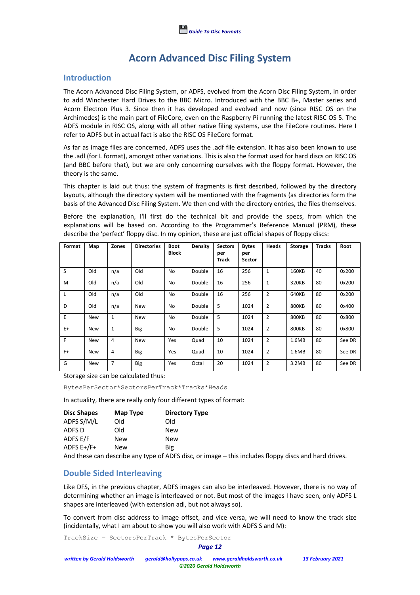# **Acorn Advanced Disc Filing System**

## **Introduction**

The Acorn Advanced Disc Filing System, or ADFS, evolved from the Acorn Disc Filing System, in order to add Winchester Hard Drives to the BBC Micro. Introduced with the BBC B+, Master series and Acorn Electron Plus 3. Since then it has developed and evolved and now (since RISC OS on the Archimedes) is the main part of FileCore, even on the Raspberry Pi running the latest RISC OS 5. The ADFS module in RISC OS, along with all other native filing systems, use the FileCore routines. Here I refer to ADFS but in actual fact is also the RISC OS FileCore format.

As far as image files are concerned, ADFS uses the .adf file extension. It has also been known to use the .adl (for L format), amongst other variations. This is also the format used for hard discs on RISC OS (and BBC before that), but we are only concerning ourselves with the floppy format. However, the theory is the same.

This chapter is laid out thus: the system of fragments is first described, followed by the directory layouts, although the directory system will be mentioned with the fragments (as directories form the basis of the Advanced Disc Filing System. We then end with the directory entries, the files themselves.

Before the explanation, I'll first do the technical bit and provide the specs, from which the explanations will be based on. According to the Programmer's Reference Manual (PRM), these describe the 'perfect' floppy disc. In my opinion, these are just official shapes of floppy discs:

| Format | Map        | Zones          | <b>Directories</b> | <b>Boot</b><br><b>Block</b> | Density | <b>Sectors</b><br>per<br><b>Track</b> | <b>Bytes</b><br>per<br><b>Sector</b> | Heads          | <b>Storage</b> | <b>Tracks</b> | Root   |
|--------|------------|----------------|--------------------|-----------------------------|---------|---------------------------------------|--------------------------------------|----------------|----------------|---------------|--------|
| S      | Old        | n/a            | Old                | <b>No</b>                   | Double  | 16                                    | 256                                  | 1              | 160KB          | 40            | 0x200  |
| M      | Old        | n/a            | Old                | <b>No</b>                   | Double  | 16                                    | 256                                  | 1              | 320KB          | 80            | 0x200  |
| L      | Old        | n/a            | Old                | <b>No</b>                   | Double  | 16                                    | 256                                  | $\overline{2}$ | 640KB          | 80            | 0x200  |
| D      | Old        | n/a            | <b>New</b>         | No                          | Double  | 5                                     | 1024                                 | $\overline{2}$ | 800KB          | 80            | 0x400  |
| E      | New        | $\mathbf{1}$   | <b>New</b>         | <b>No</b>                   | Double  | 5                                     | 1024                                 | $\overline{2}$ | 800KB          | 80            | 0x800  |
| $E+$   | <b>New</b> | $\mathbf{1}$   | <b>Big</b>         | No                          | Double  | 5                                     | 1024                                 | $\overline{2}$ | 800KB          | 80            | 0x800  |
| F      | <b>New</b> | $\overline{4}$ | New                | Yes                         | Quad    | 10                                    | 1024                                 | 2              | 1.6MB          | 80            | See DR |
| $F+$   | New        | $\overline{4}$ | <b>Big</b>         | Yes                         | Quad    | 10                                    | 1024                                 | 2              | 1.6MB          | 80            | See DR |
| G      | <b>New</b> | $\overline{7}$ | <b>Big</b>         | Yes                         | Octal   | 20                                    | 1024                                 | $\overline{2}$ | 3.2MB          | 80            | See DR |

Storage size can be calculated thus:

BytesPerSector\*SectorsPerTrack\*Tracks\*Heads

In actuality, there are really only four different types of format:

| <b>Disc Shapes</b> | Map Type   | <b>Directory Type</b> |
|--------------------|------------|-----------------------|
| ADFS S/M/L         | Old        | Old                   |
| ADFS D             | Old        | New                   |
| ADFS E/F           | <b>New</b> | <b>New</b>            |
| ADFS E+/F+         | New        | Big                   |

And these can describe any type of ADFS disc, or image – this includes floppy discs and hard drives.

# **Double Sided Interleaving**

Like DFS, in the previous chapter, ADFS images can also be interleaved. However, there is no way of determining whether an image is interleaved or not. But most of the images I have seen, only ADFS L shapes are interleaved (with extension adl, but not always so).

To convert from disc address to image offset, and vice versa, we will need to know the track size (incidentally, what I am about to show you will also work with ADFS S and M):

TrackSize = SectorsPerTrack \* BytesPerSector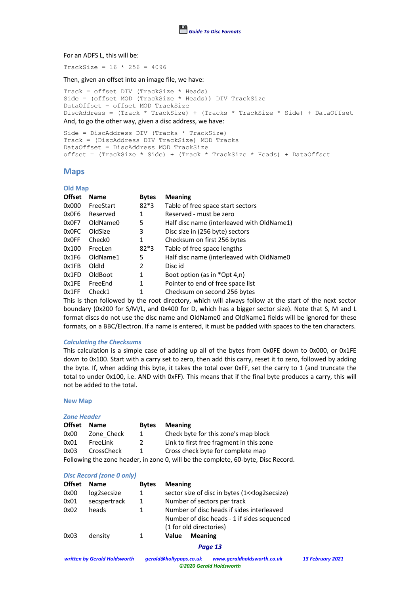

#### For an ADFS L, this will be:

 $TrackSize = 16 * 256 = 4096$ 

#### Then, given an offset into an image file, we have:

Track = offset DIV (TrackSize \* Heads) Side = (offset MOD (TrackSize \* Heads)) DIV TrackSize DataOffset = offset MOD TrackSize DiscAddress = (Track \* TrackSize) + (Tracks \* TrackSize \* Side) + DataOffset And, to go the other way, given a disc address, we have:

Side = DiscAddress DIV (Tracks \* TrackSize) Track = (DiscAddress DIV TrackSize) MOD Tracks DataOffset = DiscAddress MOD TrackSize offset = (TrackSize \* Side) + (Track \* TrackSize \* Heads) + DataOffset

#### **Maps**

#### **Old Map**

| <b>Offset</b> | <b>Name</b>        | <b>Bytes</b> | <b>Meaning</b>                             |
|---------------|--------------------|--------------|--------------------------------------------|
| 0x000         | FreeStart          | $82*3$       | Table of free space start sectors          |
| 0x0F6         | Reserved           | 1            | Reserved - must be zero                    |
| 0x0F7         | OldName0           | 5            | Half disc name (interleaved with OldName1) |
| 0x0FC         | OldSize            | 3            | Disc size in (256 byte) sectors            |
| 0x0FF         | Check <sub>0</sub> | 1            | Checksum on first 256 bytes                |
| 0x100         | FreeLen            | $82*3$       | Table of free space lengths                |
| 0x1F6         | OldName1           | 5            | Half disc name (interleaved with OldName0  |
| 0x1FB         | Oldid              | 2            | Disc id                                    |
| 0x1FD         | OldBoot            | 1            | Boot option (as in *Opt 4,n)               |
| 0x1FE         | FreeEnd            | 1            | Pointer to end of free space list          |
| 0x1FF         | Check1             |              | Checksum on second 256 bytes               |

This is then followed by the root directory, which will always follow at the start of the next sector boundary (0x200 for S/M/L, and 0x400 for D, which has a bigger sector size). Note that S, M and L format discs do not use the disc name and OldName0 and OldName1 fields will be ignored for these formats, on a BBC/Electron. If a name is entered, it must be padded with spaces to the ten characters.

#### *Calculating the Checksums*

This calculation is a simple case of adding up all of the bytes from 0x0FE down to 0x000, or 0x1FE down to 0x100. Start with a carry set to zero, then add this carry, reset it to zero, followed by adding the byte. If, when adding this byte, it takes the total over 0xFF, set the carry to 1 (and truncate the total to under 0x100, i.e. AND with 0xFF). This means that if the final byte produces a carry, this will not be added to the total.

#### **New Map**

| Zone Header |                   |               |                                                                                   |  |  |  |
|-------------|-------------------|---------------|-----------------------------------------------------------------------------------|--|--|--|
| Offset      | <b>Name</b>       | <b>Bytes</b>  | <b>Meaning</b>                                                                    |  |  |  |
| 0x00        | Zone Check        | 1             | Check byte for this zone's map block                                              |  |  |  |
| 0x01        | FreeLink          | $\mathcal{P}$ | Link to first free fragment in this zone                                          |  |  |  |
| 0x03        | <b>CrossCheck</b> |               | Cross check byte for complete map                                                 |  |  |  |
|             |                   |               | Following the zone header, in zone 0, will be the complete, 60-byte, Disc Record. |  |  |  |

#### *Disc Record (zone 0 only)*

| <b>Offset</b> | <b>Name</b>  | <b>Bytes</b> | <b>Meaning</b>                                                         |
|---------------|--------------|--------------|------------------------------------------------------------------------|
| 0x00          | log2secsize  | 1            | sector size of disc in bytes (1< <log2secsize)< td=""></log2secsize)<> |
| 0x01          | secspertrack | 1            | Number of sectors per track                                            |
| 0x02          | heads        | 1.           | Number of disc heads if sides interleaved                              |
|               |              |              | Number of disc heads - 1 if sides sequenced                            |
|               |              |              | (1 for old directories)                                                |
| 0x03          | density      |              | <b>Meaning</b><br>Value                                                |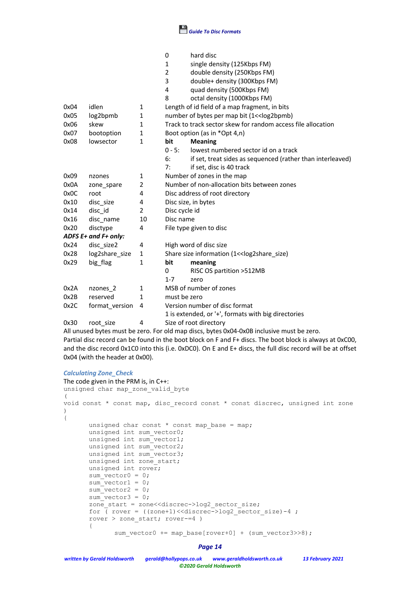

|      |                      |                | 0<br>hard disc<br>single density (125Kbps FM)<br>1<br>double density (250Kbps FM)<br>2<br>3<br>double+ density (300Kbps FM)<br>quad density (500Kbps FM)<br>4<br>8<br>octal density (1000Kbps FM) |
|------|----------------------|----------------|---------------------------------------------------------------------------------------------------------------------------------------------------------------------------------------------------|
| 0x04 | idlen                | 1              | Length of id field of a map fragment, in bits                                                                                                                                                     |
| 0x05 | log2bpmb             | $\mathbf{1}$   | number of bytes per map bit (1<< log2bpmb)                                                                                                                                                        |
| 0x06 | skew                 | 1              | Track to track sector skew for random access file allocation                                                                                                                                      |
| 0x07 | bootoption           | 1              | Boot option (as in *Opt 4,n)                                                                                                                                                                      |
| 0x08 | lowsector            | $\mathbf{1}$   | bit<br><b>Meaning</b>                                                                                                                                                                             |
|      |                      |                | lowest numbered sector id on a track<br>$0 - 5:$                                                                                                                                                  |
|      |                      |                | if set, treat sides as sequenced (rather than interleaved)<br>6:                                                                                                                                  |
|      |                      |                | 7:<br>if set, disc is 40 track                                                                                                                                                                    |
| 0x09 | nzones               | 1              | Number of zones in the map                                                                                                                                                                        |
| 0x0A | zone spare           | $\overline{2}$ | Number of non-allocation bits between zones                                                                                                                                                       |
| 0x0C | root                 | 4              | Disc address of root directory                                                                                                                                                                    |
| 0x10 | disc size            | 4              | Disc size, in bytes                                                                                                                                                                               |
| 0x14 | disc_id              | 2              | Disc cycle id                                                                                                                                                                                     |
| 0x16 | disc name            | 10             | Disc name                                                                                                                                                                                         |
| 0x20 | disctype             | 4              | File type given to disc                                                                                                                                                                           |
|      | ADFS E+ and F+ only: |                |                                                                                                                                                                                                   |
| 0x24 | disc size2           | 4              | High word of disc size                                                                                                                                                                            |
| 0x28 | log2share size       | $\mathbf{1}$   | Share size information (1< <log2share_size)< td=""></log2share_size)<>                                                                                                                            |
| 0x29 | big flag             | 1              | bit<br>meaning                                                                                                                                                                                    |
|      |                      |                | 0<br>RISC OS partition > 512MB                                                                                                                                                                    |
|      |                      |                | $1 - 7$<br>zero                                                                                                                                                                                   |
| 0x2A | nzones 2             | 1              | MSB of number of zones                                                                                                                                                                            |
| 0x2B | reserved             | 1              | must be zero                                                                                                                                                                                      |
| 0x2C | format_version       | 4              | Version number of disc format                                                                                                                                                                     |
|      |                      |                | 1 is extended, or '+', formats with big directories                                                                                                                                               |
| 0x30 | root size            | 4              | Size of root directory                                                                                                                                                                            |

All unused bytes must be zero. For old map discs, bytes 0x04-0x0B inclusive must be zero. Partial disc record can be found in the boot block on F and F+ discs. The boot block is always at 0xC00, and the disc record 0x1C0 into this (i.e. 0xDC0). On E and E+ discs, the full disc record will be at offset 0x04 (with the header at 0x00).

#### *Calculating Zone\_Check*

```
The code given in the PRM is, in C++:
unsigned char map zone valid byte
(
void const * const map, disc record const * const discrec, unsigned int zone
)
{
       unsigned char const * const map_base = map;
       unsigned int sum vector0;
       unsigned int sum vector1;
       unsigned int sum vector2;
       unsigned int sum vector3;
       unsigned int zone_start;
       unsigned int rover;
       sum vector0 = 0;sum vector1 = 0;sum\rector2 = 0;
       sum\vector3 = 0;
       zone_start = zone<<discrec->log2_sector_size;
       for \overline{()} rover = ((\text{zone+1}) \leq \text{discrete-} > \text{log2} \text{ sector} \text{ size}) - 4 ;
       rover > zone_start; rover-=4 )
       {
               sum vector0 += map base[rover+0] + (sum vector3>>8);
```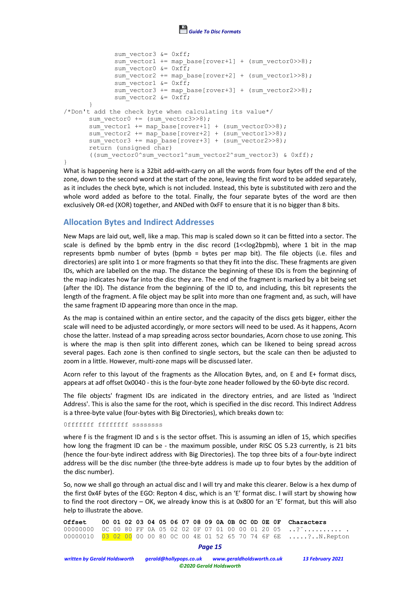

```
sum vector3 &= 0xff;sum_vector1 += map base[rover+1] + (sum_vector0>>8);
              sum vector0 &= 0xff;
              sum vector2 += map base[rover+2] + (sum vector1>>8);
              sum vector1 \&= 0 \times f\bar{f};
              sum_vector3 += map base[rover+3] + (sum_vector2>>8);
              sum\<sub>vector2</sub> \&= 0 \times f\overline{f};
       }
/*Don't add the check byte when calculating its value*/
       sum vector0 += (sum vector3>>8);
       sum\<sub>vector1</sub> += map\base[rover+1] + (sum\_vector0>>8);
       sum vector2 += mapbase[rover+2] + (sum vector1>>8);
       sum vector3 += map base[rover+3] + (sum vector2>>8);
       return (unsigned char)
       ((sum_vector0^sum_vector1^sum_vector2^sum_vector3) & 0xff);
}
```
What is happening here is a 32bit add-with-carry on all the words from four bytes off the end of the zone, down to the second word at the start of the zone, leaving the first word to be added separately, as it includes the check byte, which is not included. Instead, this byte is substituted with zero and the whole word added as before to the total. Finally, the four separate bytes of the word are then exclusively OR-ed (XOR) together, and ANDed with 0xFF to ensure that it is no bigger than 8 bits.

## **Allocation Bytes and Indirect Addresses**

New Maps are laid out, well, like a map. This map is scaled down so it can be fitted into a sector. The scale is defined by the bpmb entry in the disc record  $(1 < log2$ bpmb), where 1 bit in the map represents bpmb number of bytes (bpmb = bytes per map bit). The file objects (i.e. files and directories) are split into 1 or more fragments so that they fit into the disc. These fragments are given IDs, which are labelled on the map. The distance the beginning of these IDs is from the beginning of the map indicates how far into the disc they are. The end of the fragment is marked by a bit being set (after the ID). The distance from the beginning of the ID to, and including, this bit represents the length of the fragment. A file object may be split into more than one fragment and, as such, will have the same fragment ID appearing more than once in the map.

As the map is contained within an entire sector, and the capacity of the discs gets bigger, either the scale will need to be adjusted accordingly, or more sectors will need to be used. As it happens, Acorn chose the latter. Instead of a map spreading across sector boundaries, Acorn chose to use zoning. This is where the map is then split into different zones, which can be likened to being spread across several pages. Each zone is then confined to single sectors, but the scale can then be adjusted to zoom in a little. However, multi-zone maps will be discussed later.

Acorn refer to this layout of the fragments as the Allocation Bytes, and, on E and E+ format discs, appears at adf offset 0x0040 - this is the four-byte zone header followed by the 60-byte disc record.

The file objects' fragment IDs are indicated in the directory entries, and are listed as 'Indirect Address'. This is also the same for the root, which is specified in the disc record. This Indirect Address is a three-byte value (four-bytes with Big Directories), which breaks down to:

#### 0fffffff ffffffff ssssssss

where f is the fragment ID and s is the sector offset. This is assuming an idlen of 15, which specifies how long the fragment ID can be - the maximum possible, under RISC OS 5.23 currently, is 21 bits (hence the four-byte indirect address with Big Directories). The top three bits of a four-byte indirect address will be the disc number (the three-byte address is made up to four bytes by the addition of the disc number).

So, now we shall go through an actual disc and I will try and make this clearer. Below is a hex dump of the first 0x4F bytes of the EGO: Repton 4 disc, which is an 'E' format disc. I will start by showing how to find the root directory – OK, we already know this is at 0x800 for an 'E' format, but this will also help to illustrate the above.

|  |  |  |  |  |  |  |  | Offset 00 01 02 03 04 05 06 07 08 09 0A 0B 0C 0D 0E 0F Characters                   |
|--|--|--|--|--|--|--|--|-------------------------------------------------------------------------------------|
|  |  |  |  |  |  |  |  | 00000000 0C 00 80 FF 0A 05 02 02 0F 07 01 00 00 01 20 05 ? $\ldots$                 |
|  |  |  |  |  |  |  |  | 00000010   03  02  00  00  00  80  0C  00  4E  01  52  65  70  74  6F  6E ?N.Repton |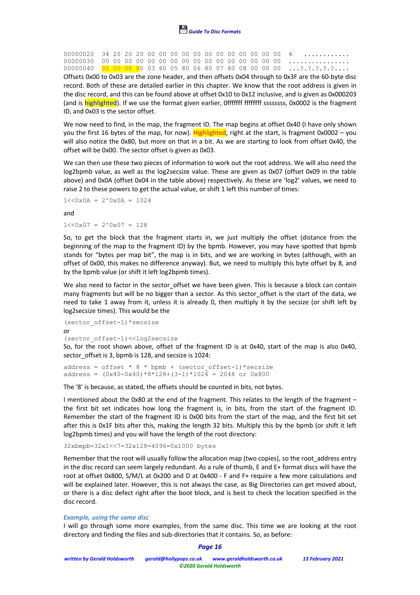

00000020 34 20 20 20 00 00 00 00 00 00 00 00 00 00 00 00 4 ............ 00000030 00 00 00 00 00 00 00 00 00 00 00 00 00 00 00 00 ................ 00000040 02 00 00 80 03 80 05 80 06 80 07 80 08 00 00 00 ...?.?.?.?.?....

Offsets 0x00 to 0x03 are the zone header, and then offsets 0x04 through to 0x3F are the 60-byte disc record. Both of these are detailed earlier in this chapter. We know that the root address is given in the disc record, and this can be found above at offset 0x10 to 0x12 inclusive, and is given as 0x000203 (and is highlighted). If we use the format given earlier, 0fffffff fffffff ssssssss, 0x0002 is the fragment ID, and 0x03 is the sector offset.

We now need to find, in the map, the fragment ID. The map begins at offset 0x40 (I have only shown you the first 16 bytes of the map, for now). Highlighted, right at the start, is fragment  $0x0002 - you$ will also notice the 0x80, but more on that in a bit. As we are starting to look from offset 0x40, the offset will be 0x00. The sector offset is given as 0x03.

We can then use these two pieces of information to work out the root address. We will also need the log2bpmb value, as well as the log2secsize value. These are given as 0x07 (offset 0x09 in the table above) and 0x0A (offset 0x04 in the table above) respectively. As these are 'log2' values, we need to raise 2 to these powers to get the actual value, or shift 1 left this number of times:

 $1 < 0x0A = 2^0x0A = 1024$ 

and

 $1 \leq 0 \times 07 = 2^0 \times 07 = 128$ 

So, to get the block that the fragment starts in, we just multiply the offset (distance from the beginning of the map to the fragment ID) by the bpmb. However, you may have spotted that bpmb stands for "bytes per map bit", the map is in bits, and we are working in bytes (although, with an offset of 0x00, this makes no difference anyway). But, we need to multiply this byte offset by 8, and by the bpmb value (or shift it left log2bpmb times).

We also need to factor in the sector offset we have been given. This is because a block can contain many fragments but will be no bigger than a sector. As this sector offset is the start of the data, we need to take 1 away from it, unless it is already 0, then multiply it by the secsize (or shift left by log2secsize times). This would be the

```
(sector_offset-1)*secsize
or
(sector_offset-1)<<log2secsize
```
So, for the root shown above, offset of the fragment ID is at 0x40, start of the map is also 0x40, sector offset is 3, bpmb is 128, and secsize is 1024:

address = offset  $* 8 *$  bpmb + (sector offset-1)\*secsize address =  $(0x40-0x40)*8*128+(3-1)*1024 = 2048$  or  $0x800$ 

The '8' is because, as stated, the offsets should be counted in bits, not bytes.

I mentioned about the 0x80 at the end of the fragment. This relates to the length of the fragment – the first bit set indicates how long the fragment is, in bits, from the start of the fragment ID. Remember the start of the fragment ID is 0x00 bits from the start of the map, and the first bit set after this is 0x1F bits after this, making the length 32 bits. Multiply this by the bpmb (or shift it left log2bpmb times) and you will have the length of the root directory:

32xbmpb=32x1<<7=32x128=4096=0x1000 bytes

Remember that the root will usually follow the allocation map (two copies), so the root\_address entry in the disc record can seem largely redundant. As a rule of thumb, E and E+ format discs will have the root at offset 0x800, S/M/L at 0x200 and D at 0x400 - F and F+ require a few more calculations and will be explained later. However, this is not always the case, as Big Directories can get moved about, or there is a disc defect right after the boot block, and is best to check the location specified in the disc record.

#### *Example, using the same disc*

I will go through some more examples, from the same disc. This time we are looking at the root directory and finding the files and sub-directories that it contains. So, as before: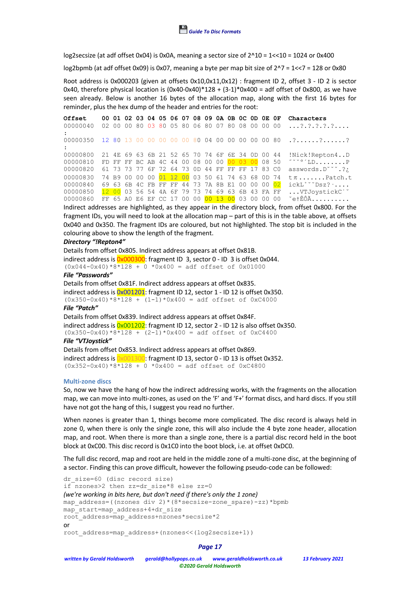

log2secsize (at adf offset 0x04) is 0x0A, meaning a sector size of  $2^10 = 1 \times 10 = 1024$  or 0x400

log2bpmb (at adf offset 0x09) is 0x07, meaning a byte per map bit size of  $2^2$  = 1 <  $7 = 128$  or 0x80

Root address is 0x000203 (given at offsets 0x10,0x11,0x12) : fragment ID 2, offset 3 - ID 2 is sector 0x40, therefore physical location is  $(0x40-0x40)*128 + (3-1)*0x400 =$  adf offset of 0x800, as we have seen already. Below is another 16 bytes of the allocation map, along with the first 16 bytes for reminder, plus the hex dump of the header and entries for the root:

| Offset   |  | 00 01 02 03 04 05 06 07 08 09 0A 0B 0C 0D 0E 0F |  |  |  |  |  |                                                 | Characters                                              |
|----------|--|-------------------------------------------------|--|--|--|--|--|-------------------------------------------------|---------------------------------------------------------|
| 00000040 |  | 02 00 00 80 03 80 05 80 06 80 07 80 08 00 00 00 |  |  |  |  |  |                                                 | $\ldots$ ? . ? . ? . ? . ?                              |
| 00000350 |  |                                                 |  |  |  |  |  |                                                 | $1280130000000000800400000000080$ ???                   |
| 00000800 |  |                                                 |  |  |  |  |  | 21 4E 69 63 6B 21 52 65 70 74 6F 6E 34 0D 00 44 | !Nick!Repton4D                                          |
| 00000810 |  |                                                 |  |  |  |  |  |                                                 |                                                         |
| 00000820 |  | 61 73 73 77 6F 72 64 73 0D 44 FF FF FF 17 83 CO |  |  |  |  |  |                                                 | $asswords.D^{\checkmark}$ .?;                           |
| 00000830 |  | 74 B9 00 00 00 01 12 00 03 50 61 74 63 68 0D 74 |  |  |  |  |  |                                                 | $t\pi$ Patch.t                                          |
| 00000840 |  | 69 63 6B 4C FB FF FF 44 73 7A 8B E1 00 00 00 02 |  |  |  |  |  |                                                 | $ickL$ <sup>o<math>\sim</math></sup> $Dsz$ ? $\ldots$ . |
| 00000850 |  | 12 00 03 56 54 4A 6F 79 73 74 69 63 6B 43 FA FF |  |  |  |  |  |                                                 | VTJoystickC <sup>ox</sup>                               |
| 00000860 |  | FF 65 A0 E6 EF CC 17 00 00 00 13 00 03 00 00 00 |  |  |  |  |  |                                                 | ~etÊÔÃ                                                  |

Indirect addresses are highlighted, as they appear in the directory block, from offset 0x800. For the fragment IDs, you will need to look at the allocation map – part of this is in the table above, at offsets 0x040 and 0x350. The fragment IDs are coloured, but not highlighted. The stop bit is included in the colouring above to show the length of the fragment.

#### *Directory "!Repton4"*

Details from offset 0x805. Indirect address appears at offset 0x81B. indirect address is  $0x000300$ : fragment ID 3, sector 0 - ID 3 is offset 0x044.  $(0x044-0x40)*8*128 + 0*0x400 = adf offset of 0x01000$ 

### *File "Passwords"*

Details from offset 0x81F. Indirect address appears at offset 0x835. indirect address is  $0x001201$ : fragment ID 12, sector 1 - ID 12 is offset 0x350.  $(0x350-0x40)*8*128 + (1-1)*0x400 = adf offset of 0xC4000$ 

### *File "Patch"*

Details from offset 0x839. Indirect address appears at offset 0x84F. indirect address is  $0x001202$ : fragment ID 12, sector 2 - ID 12 is also offset 0x350.  $(0x350-0x40)*8*128 + (2-1)*0x400 = adf offset of 0xC4400$ 

### *File "VTJoystick"*

Details from offset 0x853. Indirect address appears at offset 0x869. indirect address is  $0x001300$ : fragment ID 13, sector 0 - ID 13 is offset 0x352.  $(0x352-0x40)*8*128 + 0 *0x400 = adf offset of 0xC4800$ 

#### **Multi-zone discs**

So, now we have the hang of how the indirect addressing works, with the fragments on the allocation map, we can move into multi-zones, as used on the 'F' and 'F+' format discs, and hard discs. If you still have not got the hang of this, I suggest you read no further.

When nzones is greater than 1, things become more complicated. The disc record is always held in zone 0, when there is only the single zone, this will also include the 4 byte zone header, allocation map, and root. When there is more than a single zone, there is a partial disc record held in the boot block at 0xC00. This disc record is 0x1C0 into the boot block, i.e. at offset 0xDC0.

The full disc record, map and root are held in the middle zone of a multi-zone disc, at the beginning of a sector. Finding this can prove difficult, however the following pseudo-code can be followed:

```
dr size=60 (disc record size)
if nzones>2 then zz=dr_size*8 else zz=0
(we're working in bits here, but don't need if there's only the 1 zone)
map_address=((nzones div 2)*(8*secsize-zone_spare)-zz)*bpmb
map_start=map_address+4+dr_size
root_address=map_address+nzones*secsize*2
or
root_address=map_address+(nzones<<(log2secsize+1))
```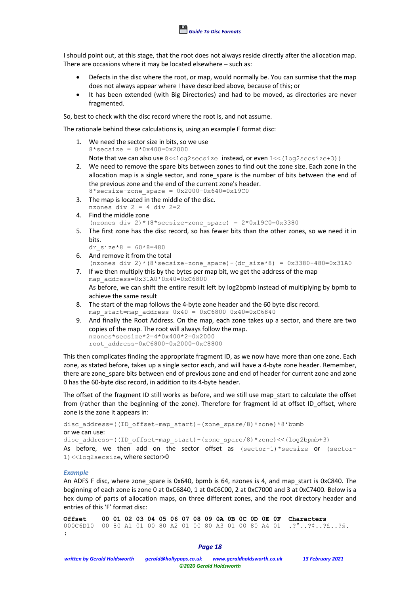

I should point out, at this stage, that the root does not always reside directly after the allocation map. There are occasions where it may be located elsewhere – such as:

- Defects in the disc where the root, or map, would normally be. You can surmise that the map does not always appear where I have described above, because of this; or
- It has been extended (with Big Directories) and had to be moved, as directories are never fragmented.

So, best to check with the disc record where the root is, and not assume.

The rationale behind these calculations is, using an example F format disc:

- 1. We need the sector size in bits, so we use  $8*$ secsize =  $8*0x400=0x2000$ Note that we can also use  $8 \le \log 2$  secsize instead, or even  $1 \le (\log 2$  secsize+3))
- 2. We need to remove the spare bits between zones to find out the zone size. Each zone in the allocation map is a single sector, and zone spare is the number of bits between the end of the previous zone and the end of the current zone's header.  $8*$ secsize-zone spare = 0x2000-0x640=0x19C0
- 3. The map is located in the middle of the disc. nzones div 2 = 4 div 2=2
- 4. Find the middle zone (nzones div 2)\*(8\*secsize-zone spare) =  $2*0x19C0=0x3380$
- 5. The first zone has the disc record, so has fewer bits than the other zones, so we need it in bits.
	- dr size\*8 =  $60*8=480$
- 6. And remove it from the total (nzones div 2)\*(8\*secsize-zone spare)-(dr size\*8) =  $0x3380-480=0x31A0$
- 7. If we then multiply this by the bytes per map bit, we get the address of the map map\_address=0x31A0\*0x40=0xC6800 As before, we can shift the entire result left by log2bpmb instead of multiplying by bpmb to achieve the same result
- 8. The start of the map follows the 4-byte zone header and the 60 byte disc record. map start=map address+0x40 =  $0xC6800+0x40=0xC6840$
- 9. And finally the Root Address. On the map, each zone takes up a sector, and there are two copies of the map. The root will always follow the map. nzones\*secsize\*2=4\*0x400\*2=0x2000 root\_address=0xC6800+0x2000=0xC8800

This then complicates finding the appropriate fragment ID, as we now have more than one zone. Each zone, as stated before, takes up a single sector each, and will have a 4-byte zone header. Remember, there are zone\_spare bits between end of previous zone and end of header for current zone and zone 0 has the 60-byte disc record, in addition to its 4-byte header.

The offset of the fragment ID still works as before, and we still use map\_start to calculate the offset from (rather than the beginning of the zone). Therefore for fragment id at offset ID offset, where zone is the zone it appears in:

```
disc_address=((ID_offset-map_start)-(zone_spare/8)*zone)*8*bpmb
or we can use:
disc_address=((ID_offset-map_start)-(zone_spare/8)*zone)<<(log2bpmb+3)
As before, we then add on the sector offset as (sector-1)*secsize or (sector-1)<<log2secsize, where sector>0
```
#### *Example*

An ADFS F disc, where zone\_spare is 0x640, bpmb is 64, nzones is 4, and map\_start is 0xC840. The beginning of each zone is zone 0 at 0xC6840, 1 at 0xC6C00, 2 at 0xC7000 and 3 at 0xC7400. Below is a hex dump of parts of allocation maps, on three different zones, and the root directory header and entries of this 'F' format disc:

**Offset 00 01 02 03 04 05 06 07 08 09 0A 0B 0C 0D 0E 0F Characters** 000C6D10 00 80 A1 01 00 80 A2 01 00 80 A3 01 00 80 A4 01 .?°..?¢..?£..?§. :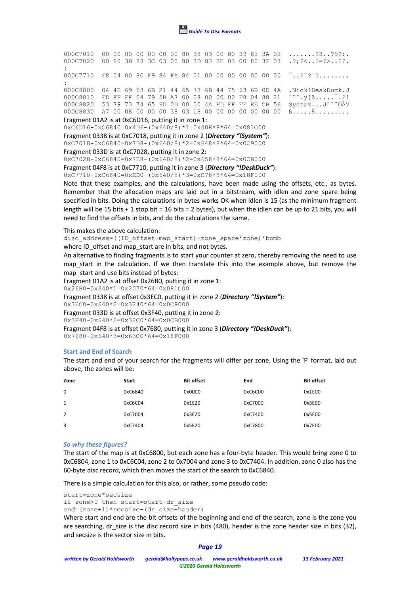

000C7010 00 00 00 00 00 00 00 80 38 03 00 80 39 83 3A 03 .......?8..?9?:. 000C7020 00 80 3B 83 3C 03 00 80 3D 83 3E 03 00 80 3F 03 .?;?<..?=?>..??. : 000C7710 F8 04 00 80 F9 84 FA 84 01 00 00 00 00 00 00 00  $\overline{a}$ ......... : 000C8800 04 4E 69 63 6B 21 44 65 73 6B 44 75 63 6B 0D 4A .Nick!DeskDuck.J 000C8810 FD FF FF 04 79 5B A7 00 08 00 00 00 F8 04 88 21  $\sim \sim \gamma[8......]$ : 000C8820 53 79 73 74 65 6D 0D 00 00 4A FD FF FF EE CB 56 System...J˝ˇˇÓÀV 000C8830 A7 00 08 00 00 00 38 03 18 00 00 00 00 00 00 00 ß.....8.........

#### Fragment 01A2 is at 0xC6D16, putting it in zone 1:

0xC6D16-0xC6840=0x4D6-(0x640/8)\*1=0x40E\*8\*64=0x081C00

Fragment 0338 is at 0xC7018, putting it in zone 2 (*Directory "!System"*):

0xC7018-0xC6840=0x7D8-(0x640/8)\*2=0x648\*8\*64=0x0C9000

Fragment 033D is at 0xC7028, putting it in zone 2:

0xC7028-0xC6840=0x7E8-(0x640/8)\*2=0x658\*8\*64=0x0CB000

Fragment 04F8 is at 0xC7710, putting it in zone 3 (*Directory "!DeskDuck"*):

0xC7710-0xC6840=0xED0-(0x640/8)\*3=0xC78\*8\*64=0x18F000

Note that these examples, and the calculations, have been made using the offsets, etc., as bytes. Remember that the allocation maps are laid out in a bitstream, with idlen and zone spare being specified in bits. Doing the calculations in bytes works OK when idlen is 15 (as the minimum fragment length will be 15 bits + 1 stop bit = 16 bits = 2 bytes), but when the idlen can be up to 21 bits, you will need to find the offsets in bits, and do the calculations the same.

This makes the above calculation:

disc address=((ID offset-map start)-zone spare\*zone)\*bpmb

where ID offset and map start are in bits, and not bytes.

An alternative to finding fragments is to start your counter at zero, thereby removing the need to use map start in the calculation. If we then translate this into the example above, but remove the map start and use bits instead of bytes:

Fragment 01A2 is at offset 0x26B0, putting it in zone 1:

0x26B0-0x640\*1=0x2070\*64=0x081C00

Fragment 0338 is at offset 0x3EC0, putting it in zone 2 (*Directory "!System"*):

0x3EC0-0x640\*2=0x3240\*64=0x0C9000

Fragment 033D is at offset 0x3F40, putting it in zone 2:

0x3F40-0x640\*2=0x32C0\*64=0x0CB000

Fragment 04F8 is at offset 0x7680, putting it in zone 3 (*Directory "!DeskDuck"*): 0x7680-0x640\*3=0x63C0\*64=0x18F000

#### **Start and End of Search**

The start and end of your search for the fragments will differ per zone. Using the 'F' format, laid out above, the zones will be:

| Zone     | <b>Start</b> | <b>Bit offset</b> | End     | <b>Bit offset</b> |
|----------|--------------|-------------------|---------|-------------------|
| $\Omega$ | 0xC6840      | 0x0000            | 0xC6C00 | 0x1E00            |
| 1        | 0xC6C04      | 0x1E20            | 0xC7000 | 0x3E00            |
| 2        | 0xC7004      | 0x3E20            | 0xC7400 | 0x5E00            |
| 3        | 0xC7404      | 0x5E20            | 0xC7800 | 0x7E00            |

#### *So why these figures?*

The start of the map is at 0xC6800, but each zone has a four-byte header. This would bring zone 0 to 0xC6804, zone 1 to 0xC6C04, zone 2 to 0x7004 and zone 3 to 0xC7404. In addition, zone 0 also has the 60-byte disc record, which then moves the start of the search to 0xC6840.

There is a simple calculation for this also, or rather, some pseudo code:

```
start=zone*secsize
if zone>0 then start=start-dr_size
end=(zone+1)*secsize-(dr size+header)
```
Where start and end are the bit offsets of the beginning and end of the search, zone is the zone you are searching, dr\_size is the disc record size in bits (480), header is the zone header size in bits (32), and secsize is the sector size in bits.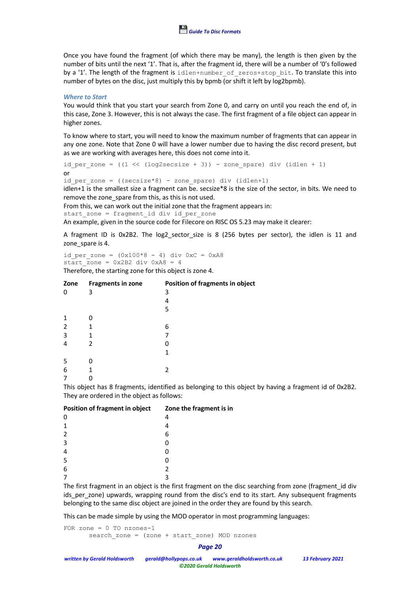

Once you have found the fragment (of which there may be many), the length is then given by the number of bits until the next '1'. That is, after the fragment id, there will be a number of '0's followed by a '1'. The length of the fragment is idlen+number of zeros+stop bit. To translate this into number of bytes on the disc, just multiply this by bpmb (or shift it left by log2bpmb).

#### *Where to Start*

You would think that you start your search from Zone 0, and carry on until you reach the end of, in this case, Zone 3. However, this is not always the case. The first fragment of a file object can appear in higher zones.

To know where to start, you will need to know the maximum number of fragments that can appear in any one zone. Note that Zone 0 will have a lower number due to having the disc record present, but as we are working with averages here, this does not come into it.

id per zone =  $((1 \leq \sqrt{log2} \cdot \text{secsize} + 3))$  - zone spare) div (idlen + 1) or id per zone =  $((secsize*8) - zone spare)$  div  $(idlen+1)$ 

idlen+1 is the smallest size a fragment can be. secsize\*8 is the size of the sector, in bits. We need to remove the zone spare from this, as this is not used.

From this, we can work out the initial zone that the fragment appears in:

start zone = fragment id div id per zone

An example, given in the source code for Filecore on RISC OS 5.23 may make it clearer:

A fragment ID is 0x2B2. The log2\_sector\_size is 8 (256 bytes per sector), the idlen is 11 and zone spare is 4.

id per zone =  $(0x100*8 - 4)$  div  $0xC = 0xA8$  $start$ \_zone =  $0x2B2$  div  $0xA8 = 4$ 

Therefore, the starting zone for this object is zone 4.

| Zone | <b>Fragments in zone</b> | Position of fragments in object |
|------|--------------------------|---------------------------------|
| 0    | 3                        | 3                               |
|      |                          | 4                               |
|      |                          | 5                               |
| 1    |                          |                                 |
| 2    |                          | 6                               |
| 3    | 1                        |                                 |
| 4    | 2                        |                                 |
|      |                          | 1                               |
| 5    |                          |                                 |
| 6    |                          | 2                               |
|      |                          |                                 |

This object has 8 fragments, identified as belonging to this object by having a fragment id of 0x2B2. They are ordered in the object as follows:

| Position of fragment in object | Zone the fragment is in |
|--------------------------------|-------------------------|
| 0                              | 4                       |
| 1                              |                         |
| 2                              | 6                       |
| 3                              |                         |
| 4                              |                         |
| 5                              |                         |
| 6                              |                         |
|                                |                         |

The first fragment in an object is the first fragment on the disc searching from zone (fragment id div ids per zone) upwards, wrapping round from the disc's end to its start. Any subsequent fragments belonging to the same disc object are joined in the order they are found by this search.

This can be made simple by using the MOD operator in most programming languages:

```
FOR zone = 0 TO nzones-1
      search zone = (zone + start zone) MOD nzones
```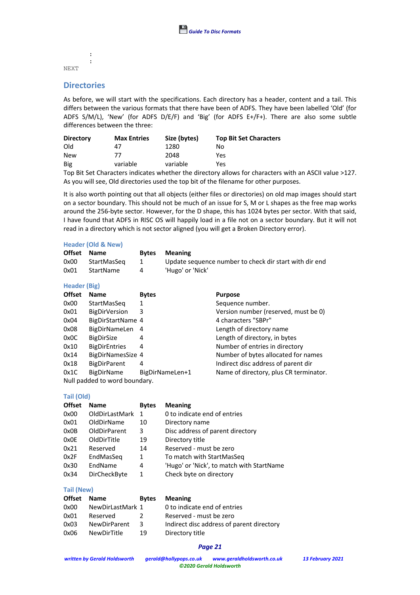# NEXT

# **Directories**

: :

As before, we will start with the specifications. Each directory has a header, content and a tail. This differs between the various formats that there have been of ADFS. They have been labelled 'Old' (for ADFS S/M/L), 'New' (for ADFS D/E/F) and 'Big' (for ADFS E+/F+). There are also some subtle differences between the three:

| <b>Directory</b> | <b>Max Entries</b> | Size (bytes) | <b>Top Bit Set Characters</b> |
|------------------|--------------------|--------------|-------------------------------|
| Old              | 47                 | 1280         | No                            |
| <b>New</b>       | 77                 | 2048         | Yes                           |
| Big              | variable           | variable     | Yes                           |

Top Bit Set Characters indicates whether the directory allows for characters with an ASCII value >127. As you will see, Old directories used the top bit of the filename for other purposes.

It is also worth pointing out that all objects (either files or directories) on old map images should start on a sector boundary. This should not be much of an issue for S, M or L shapes as the free map works around the 256-byte sector. However, for the D shape, this has 1024 bytes per sector. With that said, I have found that ADFS in RISC OS will happily load in a file not on a sector boundary. But it will not read in a directory which is not sector aligned (you will get a Broken Directory error).

#### **Header (Old & New)**

|      | Offset Name |   | <b>Bytes</b> Meaning                                   |
|------|-------------|---|--------------------------------------------------------|
| 0x00 | StartMasSeg |   | Update sequence number to check dir start with dir end |
| 0x01 | StartName   | 4 | 'Hugo' or 'Nick'                                       |

#### **Header (Big)**

| <b>Offset</b>                 | <b>Name</b>          | <b>Bytes</b>    | <b>Purpose</b>                         |  |  |  |
|-------------------------------|----------------------|-----------------|----------------------------------------|--|--|--|
| 0x00                          | StartMasSeg          | 1               | Sequence number.                       |  |  |  |
| 0x01                          | <b>BigDirVersion</b> | 3               | Version number (reserved, must be 0)   |  |  |  |
| 0x04                          | BigDirStartName 4    |                 | 4 characters "SBPr"                    |  |  |  |
| 0x08                          | BigDirNameLen        | -4              | Length of directory name               |  |  |  |
| 0x0C                          | <b>BigDirSize</b>    | 4               | Length of directory, in bytes          |  |  |  |
| 0x10                          | <b>BigDirEntries</b> | 4               | Number of entries in directory         |  |  |  |
| 0x14                          | BigDirNamesSize 4    |                 | Number of bytes allocated for names    |  |  |  |
| 0x18                          | <b>BigDirParent</b>  | 4               | Indirect disc address of parent dir    |  |  |  |
| 0x1C                          | <b>BigDirName</b>    | BigDirNameLen+1 | Name of directory, plus CR terminator. |  |  |  |
| Null padded to word boundary. |                      |                 |                                        |  |  |  |

#### **Tail (Old)**

| <b>Offset</b> | <b>Name</b>         | <b>Bytes</b> | <b>Meaning</b>                            |
|---------------|---------------------|--------------|-------------------------------------------|
| 0x00          | OldDirLastMark      | -1           | 0 to indicate end of entries              |
| 0x01          | OldDirName          | 10           | Directory name                            |
| 0x0B          | <b>OldDirParent</b> | 3            | Disc address of parent directory          |
| 0x0E          | OldDirTitle         | 19           | Directory title                           |
| 0x21          | Reserved            | 14           | Reserved - must be zero                   |
| 0x2F          | EndMasSeg           | 1            | To match with StartMasSeg                 |
| 0x30          | EndName             | 4            | 'Hugo' or 'Nick', to match with StartName |
| 0x34          | DirCheckByte        | 1            | Check byte on directory                   |

#### **Tail (New)**

| Offset Name |                     | <b>Bytes</b> | <b>Meaning</b>                            |
|-------------|---------------------|--------------|-------------------------------------------|
| 0x00        | NewDirLastMark 1    |              | 0 to indicate end of entries              |
| 0x01        | Reserved            |              | Reserved - must be zero                   |
| 0x03        | <b>NewDirParent</b> | 3            | Indirect disc address of parent directory |
| 0x06        | <b>NewDirTitle</b>  | 19           | Directory title                           |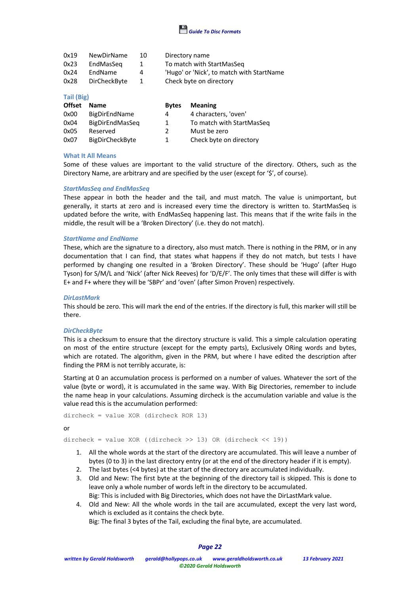

| 0x19 | <b>NewDirName</b>   | 10 | Directory name                            |
|------|---------------------|----|-------------------------------------------|
| 0x23 | EndMasSeg           | 1  | To match with StartMasSeg                 |
| 0x24 | EndName             | 4  | 'Hugo' or 'Nick', to match with StartName |
| 0x28 | <b>DirCheckByte</b> | 1  | Check byte on directory                   |

#### **Tail (Big)**

| <b>Offset</b> | <b>Name</b>            | <b>Bytes</b>  | <b>Meaning</b>            |
|---------------|------------------------|---------------|---------------------------|
| 0x00          | BigDirEndName          | 4             | 4 characters, 'oven'      |
| 0x04          | BigDirEndMasSeq        | 1             | To match with StartMasSeg |
| 0x05          | Reserved               | $\mathcal{L}$ | Must be zero              |
| 0x07          | <b>BigDirCheckByte</b> | 1.            | Check byte on directory   |

#### **What It All Means**

Some of these values are important to the valid structure of the directory. Others, such as the Directory Name, are arbitrary and are specified by the user (except for '\$', of course).

#### *StartMasSeq and EndMasSeq*

These appear in both the header and the tail, and must match. The value is unimportant, but generally, it starts at zero and is increased every time the directory is written to. StartMasSeq is updated before the write, with EndMasSeq happening last. This means that if the write fails in the middle, the result will be a 'Broken Directory' (i.e. they do not match).

#### *StartName and EndName*

These, which are the signature to a directory, also must match. There is nothing in the PRM, or in any documentation that I can find, that states what happens if they do not match, but tests I have performed by changing one resulted in a 'Broken Directory'. These should be 'Hugo' (after Hugo Tyson) for S/M/L and 'Nick' (after Nick Reeves) for 'D/E/F'. The only times that these will differ is with E+ and F+ where they will be 'SBPr' and 'oven' (after Simon Proven) respectively.

#### *DirLastMark*

This should be zero. This will mark the end of the entries. If the directory is full, this marker will still be there.

#### *DirCheckByte*

This is a checksum to ensure that the directory structure is valid. This a simple calculation operating on most of the entire structure (except for the empty parts), Exclusively ORing words and bytes, which are rotated. The algorithm, given in the PRM, but where I have edited the description after finding the PRM is not terribly accurate, is:

Starting at 0 an accumulation process is performed on a number of values. Whatever the sort of the value (byte or word), it is accumulated in the same way. With Big Directories, remember to include the name heap in your calculations. Assuming dircheck is the accumulation variable and value is the value read this is the accumulation performed:

```
dircheck = value XOR (dircheck ROR 13)
```
or

dircheck = value XOR ((dircheck >> 13) OR (dircheck << 19))

- 1. All the whole words at the start of the directory are accumulated. This will leave a number of bytes (0 to 3) in the last directory entry (or at the end of the directory header if it is empty).
- 2. The last bytes (<4 bytes) at the start of the directory are accumulated individually.
- 3. Old and New: The first byte at the beginning of the directory tail is skipped. This is done to leave only a whole number of words left in the directory to be accumulated.
- Big: This is included with Big Directories, which does not have the DirLastMark value.
- 4. Old and New: All the whole words in the tail are accumulated, except the very last word, which is excluded as it contains the check byte.

Big: The final 3 bytes of the Tail, excluding the final byte, are accumulated.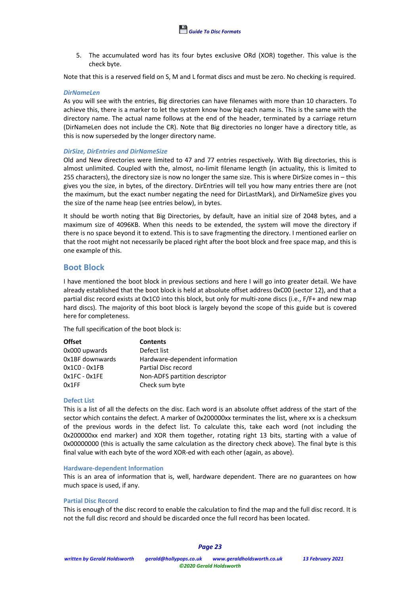5. The accumulated word has its four bytes exclusive ORd (XOR) together. This value is the check byte.

Note that this is a reserved field on S, M and L format discs and must be zero. No checking is required.

#### *DirNameLen*

As you will see with the entries, Big directories can have filenames with more than 10 characters. To achieve this, there is a marker to let the system know how big each name is. This is the same with the directory name. The actual name follows at the end of the header, terminated by a carriage return (DirNameLen does not include the CR). Note that Big directories no longer have a directory title, as this is now superseded by the longer directory name.

#### *DirSize, DirEntries and DirNameSize*

Old and New directories were limited to 47 and 77 entries respectively. With Big directories, this is almost unlimited. Coupled with the, almost, no-limit filename length (in actuality, this is limited to 255 characters), the directory size is now no longer the same size. This is where DirSize comes in – this gives you the size, in bytes, of the directory. DirEntries will tell you how many entries there are (not the maximum, but the exact number negating the need for DirLastMark), and DirNameSize gives you the size of the name heap (see entries below), in bytes.

It should be worth noting that Big Directories, by default, have an initial size of 2048 bytes, and a maximum size of 4096KB. When this needs to be extended, the system will move the directory if there is no space beyond it to extend. This is to save fragmenting the directory. I mentioned earlier on that the root might not necessarily be placed right after the boot block and free space map, and this is one example of this.

## **Boot Block**

I have mentioned the boot block in previous sections and here I will go into greater detail. We have already established that the boot block is held at absolute offset address 0xC00 (sector 12), and that a partial disc record exists at 0x1C0 into this block, but only for multi-zone discs (i.e., F/F+ and new map hard discs). The majority of this boot block is largely beyond the scope of this guide but is covered here for completeness.

The full specification of the boot block is:

| <b>Offset</b>   | <b>Contents</b>                |
|-----------------|--------------------------------|
| 0x000 upwards   | Defect list                    |
| 0x1BF downwards | Hardware-dependent information |
| $0x1CO - 0x1FB$ | Partial Disc record            |
| $0x1FC - 0x1FE$ | Non-ADFS partition descriptor  |
| 0x1FF           | Check sum byte                 |

#### **Defect List**

This is a list of all the defects on the disc. Each word is an absolute offset address of the start of the sector which contains the defect. A marker of 0x200000xx terminates the list, where xx is a checksum of the previous words in the defect list. To calculate this, take each word (not including the 0x200000xx end marker) and XOR them together, rotating right 13 bits, starting with a value of 0x00000000 (this is actually the same calculation as the directory check above). The final byte is this final value with each byte of the word XOR-ed with each other (again, as above).

#### **Hardware-dependent Information**

This is an area of information that is, well, hardware dependent. There are no guarantees on how much space is used, if any.

#### **Partial Disc Record**

This is enough of the disc record to enable the calculation to find the map and the full disc record. It is not the full disc record and should be discarded once the full record has been located.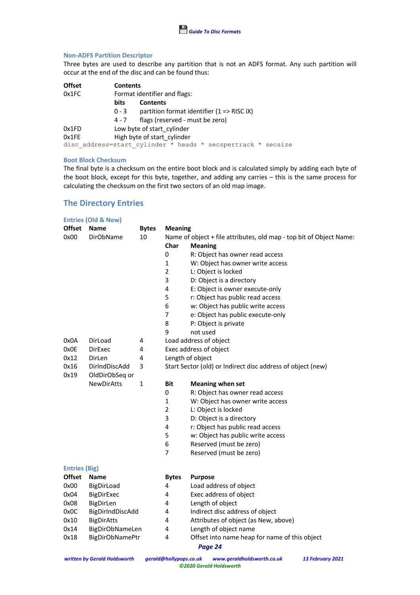#### **Non-ADFS Partition Descriptor**

Three bytes are used to describe any partition that is not an ADFS format. Any such partition will occur at the end of the disc and can be found thus:

| <b>Offset</b> |             | <b>Contents</b>                                              |  |  |  |  |
|---------------|-------------|--------------------------------------------------------------|--|--|--|--|
| 0x1FC         |             | Format identifier and flags:                                 |  |  |  |  |
|               | <b>bits</b> | <b>Contents</b>                                              |  |  |  |  |
|               | $0 - 3$     | partition format identifier $(1 \Rightarrow RISC iX)$        |  |  |  |  |
|               | 4 - 7       | flags (reserved - must be zero)                              |  |  |  |  |
| 0x1FD         |             | Low byte of start cylinder                                   |  |  |  |  |
| 0x1FE         |             | High byte of start cylinder                                  |  |  |  |  |
|               |             | disc address=start cylinder * heads * secspertrack * secsize |  |  |  |  |

#### **Boot Block Checksum**

The final byte is a checksum on the entire boot block and is calculated simply by adding each byte of the boot block, except for this byte, together, and adding any carries – this is the same process for calculating the checksum on the first two sectors of an old map image.

# **The Directory Entries**

|                      | <b>Entries (Old &amp; New)</b> |              |                                                             |                                                                     |  |  |
|----------------------|--------------------------------|--------------|-------------------------------------------------------------|---------------------------------------------------------------------|--|--|
| <b>Offset</b>        | <b>Name</b>                    | <b>Bytes</b> | <b>Meaning</b>                                              |                                                                     |  |  |
| 0x00                 | <b>DirObName</b>               | 10           |                                                             | Name of object + file attributes, old map - top bit of Object Name: |  |  |
|                      |                                |              | Char                                                        | <b>Meaning</b>                                                      |  |  |
|                      |                                |              | 0                                                           | R: Object has owner read access                                     |  |  |
|                      |                                |              | 1                                                           | W: Object has owner write access                                    |  |  |
|                      |                                |              | $\overline{2}$                                              | L: Object is locked                                                 |  |  |
|                      |                                |              | 3                                                           | D: Object is a directory                                            |  |  |
|                      |                                |              | 4                                                           | E: Object is owner execute-only                                     |  |  |
|                      |                                |              | 5                                                           | r: Object has public read access                                    |  |  |
|                      |                                |              | 6                                                           | w: Object has public write access                                   |  |  |
|                      |                                |              | $\overline{7}$                                              | e: Object has public execute-only                                   |  |  |
|                      |                                |              | 8                                                           | P: Object is private                                                |  |  |
|                      |                                |              | 9                                                           | not used                                                            |  |  |
| 0x0A                 | DirLoad                        | 4            |                                                             | Load address of object                                              |  |  |
| 0x0E                 | <b>DirExec</b>                 | 4            |                                                             | Exec address of object                                              |  |  |
| 0x12                 | DirLen                         | 4            | Length of object                                            |                                                                     |  |  |
| 0x16                 | DirIndDiscAdd                  | 3            | Start Sector (old) or Indirect disc address of object (new) |                                                                     |  |  |
| 0x19                 | OldDirObSeq or                 |              |                                                             |                                                                     |  |  |
|                      | <b>NewDirAtts</b>              | $\mathbf{1}$ | <b>Bit</b>                                                  | <b>Meaning when set</b>                                             |  |  |
|                      |                                |              | 0                                                           | R: Object has owner read access                                     |  |  |
|                      |                                |              | $\mathbf{1}$                                                | W: Object has owner write access                                    |  |  |
|                      |                                |              | $\overline{2}$                                              | L: Object is locked                                                 |  |  |
|                      |                                |              | 3                                                           | D: Object is a directory                                            |  |  |
|                      |                                |              | 4                                                           | r: Object has public read access                                    |  |  |
|                      |                                |              | 5                                                           | w: Object has public write access                                   |  |  |
|                      |                                |              | 6                                                           | Reserved (must be zero)                                             |  |  |
|                      |                                |              | 7                                                           | Reserved (must be zero)                                             |  |  |
| <b>Entries (Big)</b> |                                |              |                                                             |                                                                     |  |  |
| <b>Offset</b>        | <b>Name</b>                    |              | <b>Bytes</b>                                                | <b>Purpose</b>                                                      |  |  |
| 0x00                 | BigDirLoad                     |              | 4                                                           | Load address of object                                              |  |  |
| 0x04                 | BigDirExec                     |              | 4                                                           | Exec address of object                                              |  |  |
| 0x08                 | BigDirLen                      |              | 4                                                           | Length of object                                                    |  |  |
| 0x0C                 | BigDirIndDiscAdd               |              | 4                                                           | Indirect disc address of object                                     |  |  |
| 0x10                 | <b>BigDirAtts</b>              |              | 4                                                           | Attributes of object (as New, above)                                |  |  |
| 0x14                 | BigDirObNameLen                |              | 4                                                           | Length of object name                                               |  |  |
| 0x18                 | <b>BigDirObNamePtr</b>         |              | 4                                                           | Offset into name heap for name of this object                       |  |  |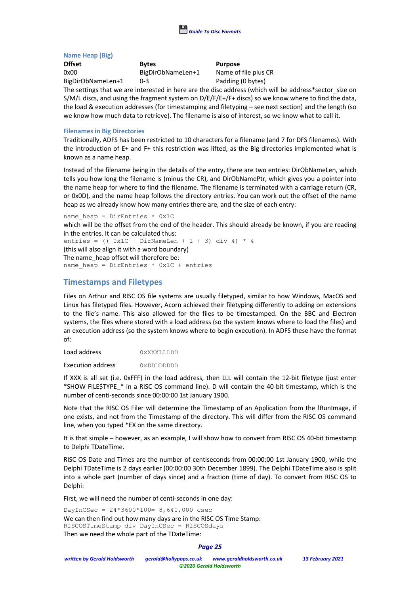

#### **Name Heap (Big)**

**Offset Bytes Purpose** 0x00 BigDirObNameLen+1 Name of file plus CR BigDirObNameLen+1 0-3 Padding (0 bytes)

The settings that we are interested in here are the disc address (which will be address\*sector size on S/M/L discs, and using the fragment system on D/E/F/E+/F+ discs) so we know where to find the data, the load & execution addresses (for timestamping and filetyping – see next section) and the length (so we know how much data to retrieve). The filename is also of interest, so we know what to call it.

### **Filenames in Big Directories**

Traditionally, ADFS has been restricted to 10 characters for a filename (and 7 for DFS filenames). With the introduction of E+ and F+ this restriction was lifted, as the Big directories implemented what is known as a name heap.

Instead of the filename being in the details of the entry, there are two entries: DirObNameLen, which tells you how long the filename is (minus the CR), and DirObNamePtr, which gives you a pointer into the name heap for where to find the filename. The filename is terminated with a carriage return (CR, or 0x0D), and the name heap follows the directory entries. You can work out the offset of the name heap as we already know how many entries there are, and the size of each entry:

name heap = DirEntries \*  $0x1C$ 

which will be the offset from the end of the header. This should already be known, if you are reading in the entries. It can be calculated thus:

entries =  $(( 0x1C + DirNameLen + 1 + 3) div 4) * 4$ (this will also align it with a word boundary) The name heap offset will therefore be: name heap = DirEntries \*  $0x1C$  + entries

# **Timestamps and Filetypes**

Files on Arthur and RISC OS file systems are usually filetyped, similar to how Windows, MacOS and Linux has filetyped files. However, Acorn achieved their filetyping differently to adding on extensions to the file's name. This also allowed for the files to be timestamped. On the BBC and Electron systems, the files where stored with a load address (so the system knows where to load the files) and an execution address (so the system knows where to begin execution). In ADFS these have the format of:

Load address 0xXXXLLLDD

Execution address 0xDDDDDDDD

If XXX is all set (i.e. 0xFFF) in the load address, then LLL will contain the 12-bit filetype (just enter \*SHOW FILE\$TYPE\_\* in a RISC OS command line). D will contain the 40-bit timestamp, which is the number of centi-seconds since 00:00:00 1st January 1900.

Note that the RISC OS Filer will determine the Timestamp of an Application from the !RunImage, if one exists, and not from the Timestamp of the directory. This will differ from the RISC OS command line, when you typed \*EX on the same directory.

It is that simple – however, as an example, I will show how to convert from RISC OS 40-bit timestamp to Delphi TDateTime.

RISC OS Date and Times are the number of centiseconds from 00:00:00 1st January 1900, while the Delphi TDateTime is 2 days earlier (00:00:00 30th December 1899). The Delphi TDateTime also is split into a whole part (number of days since) and a fraction (time of day). To convert from RISC OS to Delphi:

First, we will need the number of centi-seconds in one day:

 $DayInCSec = 24*3600*100 = 8,640,000 csec$ We can then find out how many days are in the RISC OS Time Stamp: RISCOSTimeStamp div DayInCSec = RISCOSdays Then we need the whole part of the TDateTime: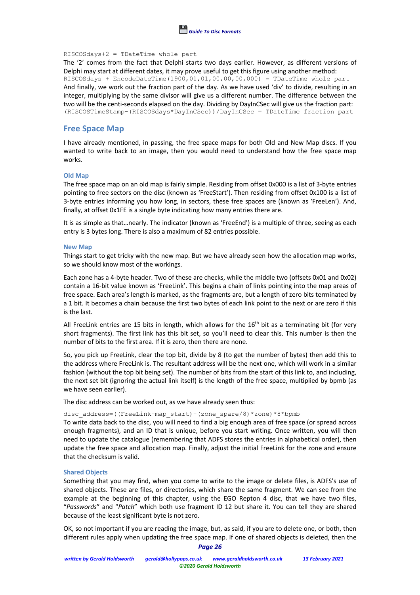

#### RISCOSdays+2 = TDateTime whole part

The '2' comes from the fact that Delphi starts two days earlier. However, as different versions of Delphi may start at different dates, it may prove useful to get this figure using another method: RISCOSdays + EncodeDateTime(1900,01,01,00,00,00,000) = TDateTime whole part And finally, we work out the fraction part of the day. As we have used 'div' to divide, resulting in an integer, multiplying by the same divisor will give us a different number. The difference between the two will be the centi-seconds elapsed on the day. Dividing by DayInCSec will give us the fraction part: (RISCOSTimeStamp-(RISCOSdays\*DayInCSec))/DayInCSec = TDateTime fraction part

### **Free Space Map**

I have already mentioned, in passing, the free space maps for both Old and New Map discs. If you wanted to write back to an image, then you would need to understand how the free space map works.

#### **Old Map**

The free space map on an old map is fairly simple. Residing from offset 0x000 is a list of 3-byte entries pointing to free sectors on the disc (known as 'FreeStart'). Then residing from offset 0x100 is a list of 3-byte entries informing you how long, in sectors, these free spaces are (known as 'FreeLen'). And, finally, at offset 0x1FE is a single byte indicating how many entries there are.

It is as simple as that…nearly. The indicator (known as 'FreeEnd') is a multiple of three, seeing as each entry is 3 bytes long. There is also a maximum of 82 entries possible.

#### **New Map**

Things start to get tricky with the new map. But we have already seen how the allocation map works, so we should know most of the workings.

Each zone has a 4-byte header. Two of these are checks, while the middle two (offsets 0x01 and 0x02) contain a 16-bit value known as 'FreeLink'. This begins a chain of links pointing into the map areas of free space. Each area's length is marked, as the fragments are, but a length of zero bits terminated by a 1 bit. It becomes a chain because the first two bytes of each link point to the next or are zero if this is the last.

All FreeLink entries are 15 bits in length, which allows for the 16<sup>th</sup> bit as a terminating bit (for very short fragments). The first link has this bit set, so you'll need to clear this. This number is then the number of bits to the first area. If it is zero, then there are none.

So, you pick up FreeLink, clear the top bit, divide by 8 (to get the number of bytes) then add this to the address where FreeLink is. The resultant address will be the next one, which will work in a similar fashion (without the top bit being set). The number of bits from the start of this link to, and including, the next set bit (ignoring the actual link itself) is the length of the free space, multiplied by bpmb (as we have seen earlier).

The disc address can be worked out, as we have already seen thus:

#### disc\_address=((FreeLink-map\_start)-(zone\_spare/8)\*zone)\*8\*bpmb

To write data back to the disc, you will need to find a big enough area of free space (or spread across enough fragments), and an ID that is unique, before you start writing. Once written, you will then need to update the catalogue (remembering that ADFS stores the entries in alphabetical order), then update the free space and allocation map. Finally, adjust the initial FreeLink for the zone and ensure that the checksum is valid.

#### **Shared Objects**

Something that you may find, when you come to write to the image or delete files, is ADFS's use of shared objects. These are files, or directories, which share the same fragment. We can see from the example at the beginning of this chapter, using the EGO Repton 4 disc, that we have two files, "*Passwords*" and "*Patch*" which both use fragment ID 12 but share it. You can tell they are shared because of the least significant byte is not zero.

*Page 26* OK, so not important if you are reading the image, but, as said, if you are to delete one, or both, then different rules apply when updating the free space map. If one of shared objects is deleted, then the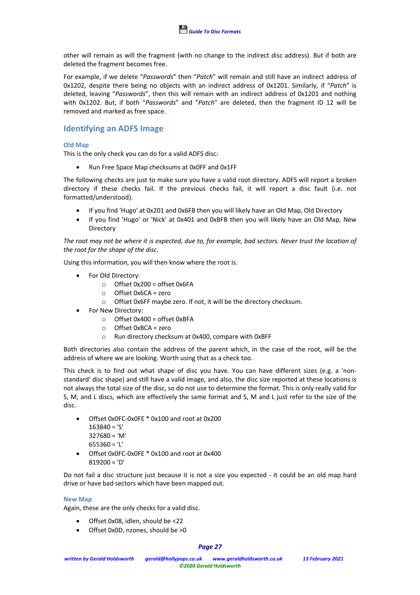other will remain as will the fragment (with no change to the indirect disc address). But if both are deleted the fragment becomes free.

For example, if we delete "*Passwords*" then "*Patch*" will remain and still have an indirect address of 0x1202, despite there being no objects with an indirect address of 0x1201. Similarly, if "*Patch*" is deleted, leaving "*Passwords*", then this will remain with an indirect address of 0x1201 and nothing with 0x1202. But, if both "*Passwords*" and "*Patch*" are deleted, then the fragment ID 12 will be removed and marked as free space.

# **Identifying an ADFS Image**

### **Old Map**

This is the only check you can do for a valid ADFS disc:

• Run Free Space Map checksums at 0x0FF and 0x1FF

The following checks are just to make sure you have a valid root directory. ADFS will report a broken directory if these checks fail. If the previous checks fail, it will report a disc fault (i.e. not formatted/understood).

- If you find 'Hugo' at 0x201 and 0x6FB then you will likely have an Old Map, Old Directory
- If you find 'Hugo' or 'Nick' at 0x401 and 0xBFB then you will likely have an Old Map, New Directory

*The root may not be where it is expected, due to, for example, bad sectors. Never trust the location of the root for the shape of the disc.*

Using this information, you will then know where the root is.

- For Old Directory:
	- $\circ$  Offset 0x200 = offset 0x6FA
	- o Offset 0x6CA = zero
	- o Offset 0x6FF maybe zero. If not, it will be the directory checksum.
- For New Directory:
	- o Offset 0x400 = offset 0xBFA
	- o Offset 0xBCA = zero
	- o Run directory checksum at 0x400, compare with 0xBFF

Both directories also contain the address of the parent which, in the case of the root, will be the address of where we are looking. Worth using that as a check too.

This check is to find out what shape of disc you have. You can have different sizes (e.g. a 'nonstandard' disc shape) and still have a valid image, and also, the disc size reported at these locations is not always the total size of the disc, so do not use to determine the format. This is only really valid for S, M, and L discs, which are effectively the same format and S, M and L just refer to the size of the disc.

- Offset 0x0FC-0x0FE \* 0x100 and root at 0x200 163840 = 'S' 327680 = 'M'
	- $655360 = '1'$
- Offset 0x0FC-0x0FE \* 0x100 and root at 0x400 819200 = 'D'

Do not fail a disc structure just because it is not a size you expected - it could be an old map hard drive or have bad sectors which have been mapped out.

#### **New Map**

Again, these are the only checks for a valid disc.

- Offset 0x08, idlen, should be <22
- Offset 0x0D, nzones, should be >0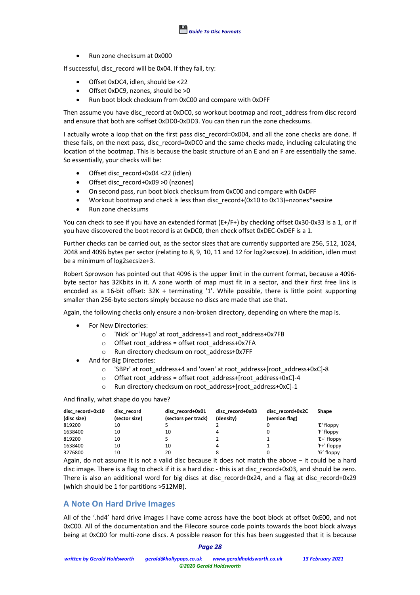• Run zone checksum at 0x000

If successful, disc record will be 0x04. If they fail, try:

- Offset 0xDC4, idlen, should be <22
- Offset 0xDC9, nzones, should be >0
- Run boot block checksum from 0xC00 and compare with 0xDFF

Then assume you have disc\_record at 0xDC0, so workout bootmap and root\_address from disc record and ensure that both are <offset 0xDD0-0xDD3. You can then run the zone checksums.

I actually wrote a loop that on the first pass disc\_record=0x004, and all the zone checks are done. If these fails, on the next pass, disc record=0xDC0 and the same checks made, including calculating the location of the bootmap. This is because the basic structure of an E and an F are essentially the same. So essentially, your checks will be:

- Offset disc\_record+0x04 <22 (idlen)
- Offset disc\_record+0x09 >0 (nzones)
- On second pass, run boot block checksum from 0xC00 and compare with 0xDFF
- Workout bootmap and check is less than disc record+(0x10 to 0x13)+nzones\*secsize
- Run zone checksums

You can check to see if you have an extended format (E+/F+) by checking offset 0x30-0x33 is a 1, or if you have discovered the boot record is at 0xDC0, then check offset 0xDEC-0xDEF is a 1.

Further checks can be carried out, as the sector sizes that are currently supported are 256, 512, 1024, 2048 and 4096 bytes per sector (relating to 8, 9, 10, 11 and 12 for log2secsize). In addition, idlen must be a minimum of log2secsize+3.

Robert Sprowson has pointed out that 4096 is the upper limit in the current format, because a 4096 byte sector has 32Kbits in it. A zone worth of map must fit in a sector, and their first free link is encoded as a 16-bit offset: 32K + terminating '1'. While possible, there is little point supporting smaller than 256-byte sectors simply because no discs are made that use that.

Again, the following checks only ensure a non-broken directory, depending on where the map is.

- For New Directories:
	- o 'Nick' or 'Hugo' at root\_address+1 and root\_address+0x7FB
	- o Offset root\_address = offset root\_address+0x7FA
	- o Run directory checksum on root\_address+0x7FF
- And for Big Directories:
	- o 'SBPr' at root\_address+4 and 'oven' at root\_address+[root\_address+0xC]-8
	- o Offset root\_address = offset root\_address+[root\_address+0xC]-4
	- o Run directory checksum on root\_address+[root\_address+0xC]-1

And finally, what shape do you have?

| disc record+0x10<br>(disc size) | disc record<br>(sector size) | disc record+0x01<br>(sectors per track) | disc record+0x03<br>(density) | disc record+0x2C<br>(version flag) | Shape       |
|---------------------------------|------------------------------|-----------------------------------------|-------------------------------|------------------------------------|-------------|
| 819200                          | 10                           |                                         |                               |                                    | 'E' floppy  |
| 1638400                         | 10                           | 10                                      |                               |                                    | 'F' floppy  |
| 819200                          | 10                           |                                         |                               |                                    | 'E+' floppy |
| 1638400                         | 10                           | 10                                      |                               |                                    | 'F+' floppy |
| 3276800                         | 10                           | 20                                      |                               |                                    | 'G' floppy  |

Again, do not assume it is not a valid disc because it does not match the above – it could be a hard disc image. There is a flag to check if it is a hard disc - this is at disc record+0x03, and should be zero. There is also an additional word for big discs at disc record+0x24, and a flag at disc record+0x29 (which should be 1 for partitions >512MB).

# **A Note On Hard Drive Images**

All of the '.hd4' hard drive images I have come across have the boot block at offset 0xE00, and not 0xC00. All of the documentation and the Filecore source code points towards the boot block always being at 0xC00 for multi-zone discs. A possible reason for this has been suggested that it is because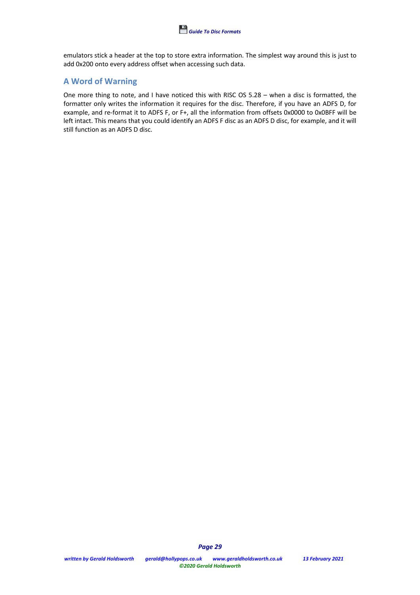emulators stick a header at the top to store extra information. The simplest way around this is just to add 0x200 onto every address offset when accessing such data.

# **A Word of Warning**

One more thing to note, and I have noticed this with RISC OS 5.28 – when a disc is formatted, the formatter only writes the information it requires for the disc. Therefore, if you have an ADFS D, for example, and re-format it to ADFS F, or F+, all the information from offsets 0x0000 to 0x0BFF will be left intact. This means that you could identify an ADFS F disc as an ADFS D disc, for example, and it will still function as an ADFS D disc.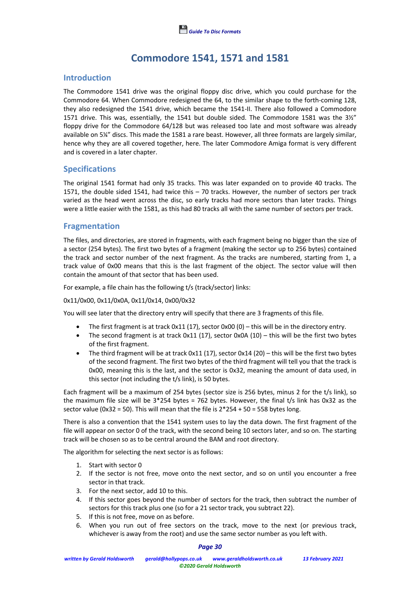

# **Commodore 1541, 1571 and 1581**

# **Introduction**

The Commodore 1541 drive was the original floppy disc drive, which you could purchase for the Commodore 64. When Commodore redesigned the 64, to the similar shape to the forth-coming 128, they also redesigned the 1541 drive, which became the 1541-II. There also followed a Commodore 1571 drive. This was, essentially, the 1541 but double sided. The Commodore 1581 was the 3½" floppy drive for the Commodore 64/128 but was released too late and most software was already available on 5¼" discs. This made the 1581 a rare beast. However, all three formats are largely similar, hence why they are all covered together, here. The later Commodore Amiga format is very different and is covered in a later chapter.

## **Specifications**

The original 1541 format had only 35 tracks. This was later expanded on to provide 40 tracks. The 1571, the double sided 1541, had twice this – 70 tracks. However, the number of sectors per track varied as the head went across the disc, so early tracks had more sectors than later tracks. Things were a little easier with the 1581, as this had 80 tracks all with the same number of sectors per track.

## **Fragmentation**

The files, and directories, are stored in fragments, with each fragment being no bigger than the size of a sector (254 bytes). The first two bytes of a fragment (making the sector up to 256 bytes) contained the track and sector number of the next fragment. As the tracks are numbered, starting from 1, a track value of 0x00 means that this is the last fragment of the object. The sector value will then contain the amount of that sector that has been used.

For example, a file chain has the following t/s (track/sector) links:

0x11/0x00, 0x11/0x0A, 0x11/0x14, 0x00/0x32

You will see later that the directory entry will specify that there are 3 fragments of this file.

- The first fragment is at track  $0x11$  (17), sector  $0x00$  (0) this will be in the directory entry.
- The second fragment is at track  $0x11$  (17), sector  $0x0A$  (10) this will be the first two bytes of the first fragment.
- The third fragment will be at track  $0x11$  (17), sector  $0x14$  (20) this will be the first two bytes of the second fragment. The first two bytes of the third fragment will tell you that the track is 0x00, meaning this is the last, and the sector is 0x32, meaning the amount of data used, in this sector (not including the t/s link), is 50 bytes.

Each fragment will be a maximum of 254 bytes (sector size is 256 bytes, minus 2 for the t/s link), so the maximum file size will be  $3*254$  bytes = 762 bytes. However, the final t/s link has 0x32 as the sector value (0x32 = 50). This will mean that the file is  $2*254 + 50 = 558$  bytes long.

There is also a convention that the 1541 system uses to lay the data down. The first fragment of the file will appear on sector 0 of the track, with the second being 10 sectors later, and so on. The starting track will be chosen so as to be central around the BAM and root directory.

The algorithm for selecting the next sector is as follows:

- 1. Start with sector 0
- 2. If the sector is not free, move onto the next sector, and so on until you encounter a free sector in that track.
- 3. For the next sector, add 10 to this.
- 4. If this sector goes beyond the number of sectors for the track, then subtract the number of sectors for this track plus one (so for a 21 sector track, you subtract 22).
- 5. If this is not free, move on as before.
- 6. When you run out of free sectors on the track, move to the next (or previous track, whichever is away from the root) and use the same sector number as you left with.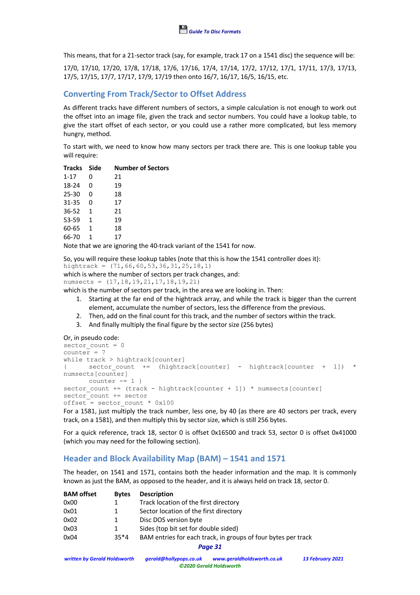This means, that for a 21-sector track (say, for example, track 17 on a 1541 disc) the sequence will be:

17/0, 17/10, 17/20, 17/8, 17/18, 17/6, 17/16, 17/4, 17/14, 17/2, 17/12, 17/1, 17/11, 17/3, 17/13, 17/5, 17/15, 17/7, 17/17, 17/9, 17/19 then onto 16/7, 16/17, 16/5, 16/15, etc.

# **Converting From Track/Sector to Offset Address**

As different tracks have different numbers of sectors, a simple calculation is not enough to work out the offset into an image file, given the track and sector numbers. You could have a lookup table, to give the start offset of each sector, or you could use a rather more complicated, but less memory hungry, method.

To start with, we need to know how many sectors per track there are. This is one lookup table you will require:

| Tracks Side |              | <b>Number of Sectors</b> |
|-------------|--------------|--------------------------|
| $1 - 17$    | 0            | 21                       |
| 18-24       | 0            | 19                       |
| 25-30       | 0            | 18                       |
| $31 - 35$   | 0            | 17                       |
| 36-52       | $\mathbf{1}$ | 21                       |
| 53-59       | $\mathbf{1}$ | 19                       |
| 60-65       | $\mathbf{1}$ | 18                       |
| 66-70       | 1            | 17                       |
|             |              | $\blacksquare$           |

Note that we are ignoring the 40-track variant of the 1541 for now.

So, you will require these lookup tables (note that this is how the 1541 controller does it):

```
hightrack = (71,66,60,53,36,31,25,18,1)
```
which is where the number of sectors per track changes, and:

numsects = (17,18,19,21,17,18,19,21)

which is the number of sectors per track, in the area we are looking in. Then:

- 1. Starting at the far end of the hightrack array, and while the track is bigger than the current element, accumulate the number of sectors, less the difference from the previous.
- 2. Then, add on the final count for this track, and the number of sectors within the track.
- 3. And finally multiply the final figure by the sector size (256 bytes)

#### Or, in pseudo code:

```
sector count = 0counter = 7
while track > hightrack[counter]
\{ sector count += (hightrack[counter] - hightrack[counter + 1]) *
numsects[counter]
      counter = 1}
sector count += (track - hightrack[counter + 1]) * numsects[counter]
sector_count += sector
offset = sector count * 0x100For a 1581, just multiply the track number, less one, by 40 (as there are 40 sectors per track, every
```
track, on a 1581), and then multiply this by sector size, which is still 256 bytes.

For a quick reference, track 18, sector 0 is offset 0x16500 and track 53, sector 0 is offset 0x41000 (which you may need for the following section).

# **Header and Block Availability Map (BAM) – 1541 and 1571**

The header, on 1541 and 1571, contains both the header information and the map. It is commonly known as just the BAM, as opposed to the header, and it is always held on track 18, sector 0.

| <b>BAM</b> offset | <b>Bytes</b> | <b>Description</b>                                            |
|-------------------|--------------|---------------------------------------------------------------|
| 0x00              |              | Track location of the first directory                         |
| 0x01              |              | Sector location of the first directory                        |
| 0x02              |              | Disc DOS version byte                                         |
| 0x03              |              | Sides (top bit set for double sided)                          |
| 0x04              | $35*4$       | BAM entries for each track, in groups of four bytes per track |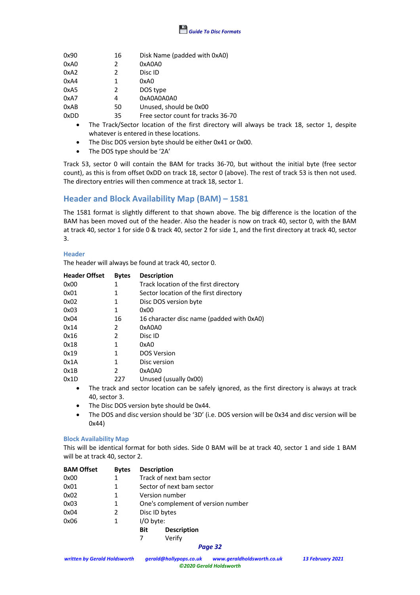

| 0x90 | 16 | Disk Name (padded with 0xA0)       |
|------|----|------------------------------------|
| 0xA0 | 2  | 0xA0A0                             |
| 0xA2 | 2  | Disc ID                            |
| 0xA4 | 1  | 0xA0                               |
| 0xA5 | 2  | DOS type                           |
| 0xA7 | 4  | 0xA0A0A0A0                         |
| 0xAB | 50 | Unused, should be 0x00             |
| 0xDD | 35 | Free sector count for tracks 36-70 |

- The Track/Sector location of the first directory will always be track 18, sector 1, despite whatever is entered in these locations.
- The Disc DOS version byte should be either 0x41 or 0x00.
- The DOS type should be '2A'

Track 53, sector 0 will contain the BAM for tracks 36-70, but without the initial byte (free sector count), as this is from offset 0xDD on track 18, sector 0 (above). The rest of track 53 is then not used. The directory entries will then commence at track 18, sector 1.

# **Header and Block Availability Map (BAM) – 1581**

The 1581 format is slightly different to that shown above. The big difference is the location of the BAM has been moved out of the header. Also the header is now on track 40, sector 0, with the BAM at track 40, sector 1 for side 0 & track 40, sector 2 for side 1, and the first directory at track 40, sector 3.

#### **Header**

The header will always be found at track 40, sector 0.

| <b>Header Offset</b> | <b>Bytes</b>  | <b>Description</b>                        |
|----------------------|---------------|-------------------------------------------|
| 0x00                 | 1             | Track location of the first directory     |
| 0x01                 | 1             | Sector location of the first directory    |
| 0x02                 | 1             | Disc DOS version byte                     |
| 0x03                 | 1             | 0x00                                      |
| 0x04                 | 16            | 16 character disc name (padded with 0xA0) |
| 0x14                 | 2             | 0xA0A0                                    |
| 0x16                 | $\mathcal{P}$ | Disc ID                                   |
| 0x18                 | 1             | 0xA0                                      |
| 0x19                 | 1             | <b>DOS Version</b>                        |
| 0x1A                 | 1             | Disc version                              |
| 0x1B                 | $\mathcal{P}$ | 0xA0A0                                    |
| 0x1D                 | 227           | Unused (usually 0x00)                     |
|                      |               |                                           |

- The track and sector location can be safely ignored, as the first directory is always at track 40, sector 3.
- The Disc DOS version byte should be 0x44.
- The DOS and disc version should be '3D' (i.e. DOS version will be 0x34 and disc version will be 0x44)

#### **Block Availability Map**

This will be identical format for both sides. Side 0 BAM will be at track 40, sector 1 and side 1 BAM will be at track 40, sector 2.

| <b>BAM Offset</b> | <b>Bytes</b> | <b>Description</b>        |                                    |  |
|-------------------|--------------|---------------------------|------------------------------------|--|
| 0x00              |              | Track of next bam sector  |                                    |  |
| 0x01              | 1            | Sector of next bam sector |                                    |  |
| 0x02              | 1            |                           | Version number                     |  |
| 0x03              | 1            |                           | One's complement of version number |  |
| 0x04              | 2            |                           | Disc ID bytes                      |  |
| 0x06              | 1            | I/O byte:                 |                                    |  |
|                   |              | Bit                       | <b>Description</b>                 |  |
|                   |              |                           | Verify                             |  |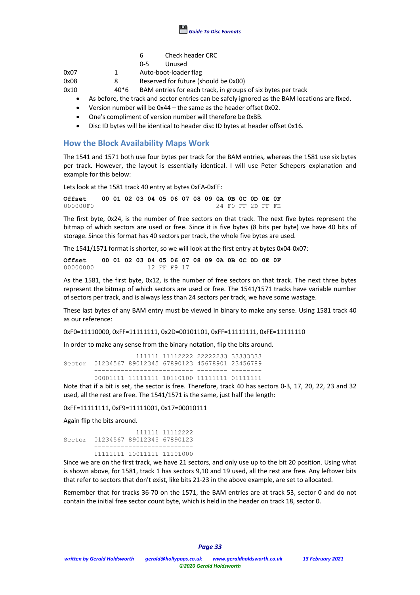

| 6 | Check header CRC |  |
|---|------------------|--|
|---|------------------|--|

0-5 Unused

0x07 1 Auto-boot-loader flag

0x08 8 Reserved for future (should be 0x00)

0x10 40\*6 BAM entries for each track, in groups of six bytes per track

- As before, the track and sector entries can be safely ignored as the BAM locations are fixed.
- Version number will be 0x44 the same as the header offset 0x02.
- One's compliment of version number will therefore be 0xBB.
- Disc ID bytes will be identical to header disc ID bytes at header offset 0x16.

# **How the Block Availability Maps Work**

The 1541 and 1571 both use four bytes per track for the BAM entries, whereas the 1581 use six bytes per track. However, the layout is essentially identical. I will use Peter Schepers explanation and example for this below:

Lets look at the 1581 track 40 entry at bytes 0xFA-0xFF:

**Offset 00 01 02 03 04 05 06 07 08 09 0A 0B 0C 0D 0E 0F**<br>000000F0 24 F0 FF 2D FF FE 000000F0 24 F0 FF 2D FF FE

The first byte, 0x24, is the number of free sectors on that track. The next five bytes represent the bitmap of which sectors are used or free. Since it is five bytes (8 bits per byte) we have 40 bits of storage. Since this format has 40 sectors per track, the whole five bytes are used.

The 1541/1571 format is shorter, so we will look at the first entry at bytes 0x04-0x07:

**Offset 00 01 02 03 04 05 06 07 08 09 0A 0B 0C 0D 0E 0F**<br>00000000 12 FF F9 17 12 FF F9 17

As the 1581, the first byte, 0x12, is the number of free sectors on that track. The next three bytes represent the bitmap of which sectors are used or free. The 1541/1571 tracks have variable number of sectors per track, and is always less than 24 sectors per track, we have some wastage.

These last bytes of any BAM entry must be viewed in binary to make any sense. Using 1581 track 40 as our reference:

0xF0=11110000, 0xFF=11111111, 0x2D=00101101, 0xFF=11111111, 0xFE=11111110

In order to make any sense from the binary notation, flip the bits around.

 111111 11112222 22222233 33333333 Sector 01234567 89012345 67890123 45678901 23456789 -------------------------- -------- --------

 00001111 11111111 10110100 11111111 01111111 Note that if a bit is set, the sector is free. Therefore, track 40 has sectors 0-3, 17, 20, 22, 23 and 32 used, all the rest are free. The 1541/1571 is the same, just half the length:

0xFF=11111111, 0xF9=11111001, 0x17=00010111

Again flip the bits around.

 111111 11112222 Sector 01234567 89012345 67890123 -------------------------- 11111111 10011111 11101000

Since we are on the first track, we have 21 sectors, and only use up to the bit 20 position. Using what is shown above, for 1581, track 1 has sectors 9,10 and 19 used, all the rest are free. Any leftover bits that refer to sectors that don't exist, like bits 21-23 in the above example, are set to allocated.

Remember that for tracks 36-70 on the 1571, the BAM entries are at track 53, sector 0 and do not contain the initial free sector count byte, which is held in the header on track 18, sector 0.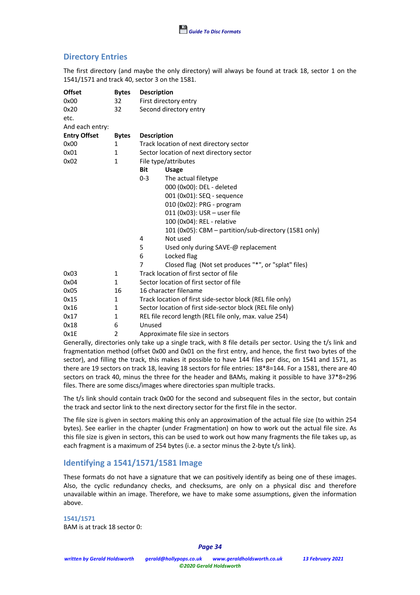# **Directory Entries**

The first directory (and maybe the only directory) will always be found at track 18, sector 1 on the 1541/1571 and track 40, sector 3 on the 1581.

| <b>Offset</b>       | <b>Bytes</b>   | <b>Description</b>                      |                                                            |  |  |  |  |
|---------------------|----------------|-----------------------------------------|------------------------------------------------------------|--|--|--|--|
| 0x00                | 32             | First directory entry                   |                                                            |  |  |  |  |
| 0x20                | 32             |                                         | Second directory entry                                     |  |  |  |  |
| etc.                |                |                                         |                                                            |  |  |  |  |
| And each entry:     |                |                                         |                                                            |  |  |  |  |
| <b>Entry Offset</b> | <b>Bytes</b>   | <b>Description</b>                      |                                                            |  |  |  |  |
| 0x00                | $\mathbf{1}$   | Track location of next directory sector |                                                            |  |  |  |  |
| 0x01                | 1              |                                         | Sector location of next directory sector                   |  |  |  |  |
| 0x02                | 1              | File type/attributes                    |                                                            |  |  |  |  |
|                     |                | Bit                                     | <b>Usage</b>                                               |  |  |  |  |
|                     |                | $0 - 3$                                 | The actual filetype                                        |  |  |  |  |
|                     |                |                                         | 000 (0x00): DEL - deleted                                  |  |  |  |  |
|                     |                |                                         | 001 (0x01): SEQ - sequence                                 |  |  |  |  |
|                     |                |                                         | 010 (0x02): PRG - program                                  |  |  |  |  |
|                     |                |                                         | 011 (0x03): USR - user file                                |  |  |  |  |
|                     |                |                                         | 100 (0x04): REL - relative                                 |  |  |  |  |
|                     |                |                                         | 101 (0x05): CBM - partition/sub-directory (1581 only)      |  |  |  |  |
|                     |                | 4                                       | Not used                                                   |  |  |  |  |
|                     |                | 5                                       | Used only during SAVE-@ replacement                        |  |  |  |  |
|                     |                | 6                                       | Locked flag                                                |  |  |  |  |
|                     |                | 7                                       | Closed flag (Not set produces "*", or "splat" files)       |  |  |  |  |
| 0x03                | $\mathbf{1}$   |                                         | Track location of first sector of file                     |  |  |  |  |
| 0x04                | $\mathbf{1}$   |                                         | Sector location of first sector of file                    |  |  |  |  |
| 0x05                | 16             |                                         | 16 character filename                                      |  |  |  |  |
| 0x15                | 1              |                                         | Track location of first side-sector block (REL file only)  |  |  |  |  |
| 0x16                | 1              |                                         | Sector location of first side-sector block (REL file only) |  |  |  |  |
| 0x17                | $\mathbf{1}$   |                                         | REL file record length (REL file only, max. value 254)     |  |  |  |  |
| 0x18                | 6              | Unused                                  |                                                            |  |  |  |  |
| 0x1E                | $\overline{2}$ |                                         | Approximate file size in sectors                           |  |  |  |  |

Generally, directories only take up a single track, with 8 file details per sector. Using the t/s link and fragmentation method (offset 0x00 and 0x01 on the first entry, and hence, the first two bytes of the sector), and filling the track, this makes it possible to have 144 files per disc, on 1541 and 1571, as there are 19 sectors on track 18, leaving 18 sectors for file entries: 18\*8=144. For a 1581, there are 40 sectors on track 40, minus the three for the header and BAMs, making it possible to have 37\*8=296 files. There are some discs/images where directories span multiple tracks.

The t/s link should contain track 0x00 for the second and subsequent files in the sector, but contain the track and sector link to the next directory sector for the first file in the sector.

The file size is given in sectors making this only an approximation of the actual file size (to within 254 bytes). See earlier in the chapter (under Fragmentation) on how to work out the actual file size. As this file size is given in sectors, this can be used to work out how many fragments the file takes up, as each fragment is a maximum of 254 bytes (i.e. a sector minus the 2-byte t/s link).

# **Identifying a 1541/1571/1581 Image**

These formats do not have a signature that we can positively identify as being one of these images. Also, the cyclic redundancy checks, and checksums, are only on a physical disc and therefore unavailable within an image. Therefore, we have to make some assumptions, given the information above.

**1541/1571** BAM is at track 18 sector 0: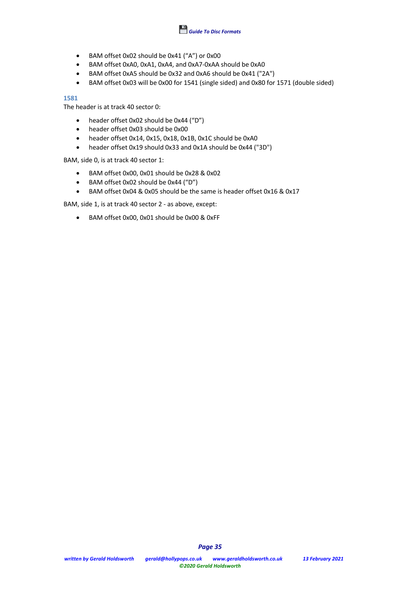

- BAM offset 0x02 should be 0x41 ("A") or 0x00
- BAM offset 0xA0, 0xA1, 0xA4, and 0xA7-0xAA should be 0xA0
- BAM offset 0xA5 should be 0x32 and 0xA6 should be 0x41 ("2A")
- BAM offset 0x03 will be 0x00 for 1541 (single sided) and 0x80 for 1571 (double sided)

### **1581**

The header is at track 40 sector 0:

- header offset 0x02 should be 0x44 ("D")
- header offset 0x03 should be 0x00
- header offset 0x14, 0x15, 0x18, 0x1B, 0x1C should be 0xA0
- header offset 0x19 should 0x33 and 0x1A should be 0x44 ("3D")

BAM, side 0, is at track 40 sector 1:

- BAM offset 0x00, 0x01 should be 0x28 & 0x02
- BAM offset 0x02 should be 0x44 ("D")
- BAM offset 0x04 & 0x05 should be the same is header offset 0x16 & 0x17

BAM, side 1, is at track 40 sector 2 - as above, except:

• BAM offset 0x00, 0x01 should be 0x00 & 0xFF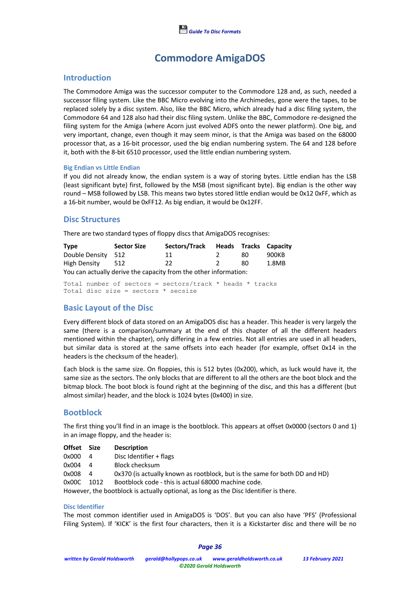

# **Commodore AmigaDOS**

## **Introduction**

The Commodore Amiga was the successor computer to the Commodore 128 and, as such, needed a successor filing system. Like the BBC Micro evolving into the Archimedes, gone were the tapes, to be replaced solely by a disc system. Also, like the BBC Micro, which already had a disc filing system, the Commodore 64 and 128 also had their disc filing system. Unlike the BBC, Commodore re-designed the filing system for the Amiga (where Acorn just evolved ADFS onto the newer platform). One big, and very important, change, even though it may seem minor, is that the Amiga was based on the 68000 processor that, as a 16-bit processor, used the big endian numbering system. The 64 and 128 before it, both with the 8-bit 6510 processor, used the little endian numbering system.

#### **Big Endian vs Little Endian**

If you did not already know, the endian system is a way of storing bytes. Little endian has the LSB (least significant byte) first, followed by the MSB (most significant byte). Big endian is the other way round – MSB followed by LSB. This means two bytes stored little endian would be 0x12 0xFF, which as a 16-bit number, would be 0xFF12. As big endian, it would be 0x12FF.

# **Disc Structures**

There are two standard types of floppy discs that AmigaDOS recognises:

| <b>Type</b>        | <b>Sector Size</b> | Sectors/Track                                                    |     | Heads Tracks Capacity |
|--------------------|--------------------|------------------------------------------------------------------|-----|-----------------------|
| Double Density 512 |                    | 11                                                               | 80. | 900KB                 |
| High Density 512   |                    | 22                                                               | 80. | 1.8MB                 |
|                    |                    | You can actually derive the canacity from the other information: |     |                       |

You can actually derive the capacity from the other information:

Total number of sectors = sectors/track  $*$  heads  $*$  tracks Total disc size = sectors \* secsize

# **Basic Layout of the Disc**

Every different block of data stored on an AmigaDOS disc has a header. This header is very largely the same (there is a comparison/summary at the end of this chapter of all the different headers mentioned within the chapter), only differing in a few entries. Not all entries are used in all headers, but similar data is stored at the same offsets into each header (for example, offset 0x14 in the headers is the checksum of the header).

Each block is the same size. On floppies, this is 512 bytes (0x200), which, as luck would have it, the same size as the sectors. The only blocks that are different to all the others are the boot block and the bitmap block. The boot block is found right at the beginning of the disc, and this has a different (but almost similar) header, and the block is 1024 bytes (0x400) in size.

# **Bootblock**

The first thing you'll find in an image is the bootblock. This appears at offset 0x0000 (sectors 0 and 1) in an image floppy, and the header is:

| Offset Size |                | <b>Description</b>                                                                    |
|-------------|----------------|---------------------------------------------------------------------------------------|
| 0x000       | -4             | Disc Identifier + flags                                                               |
| 0x004       | -4             | <b>Block checksum</b>                                                                 |
| 0x008       | $\overline{a}$ | 0x370 (is actually known as rootblock, but is the same for both DD and HD)            |
| 0x00C       | 1012           | Bootblock code - this is actual 68000 machine code.                                   |
|             |                | However, the bootblock is actually optional, as long as the Disc Identifier is there. |
|             |                |                                                                                       |

#### **Disc Identifier**

The most common identifier used in AmigaDOS is 'DOS'. But you can also have 'PFS' (Professional Filing System). If 'KICK' is the first four characters, then it is a Kickstarter disc and there will be no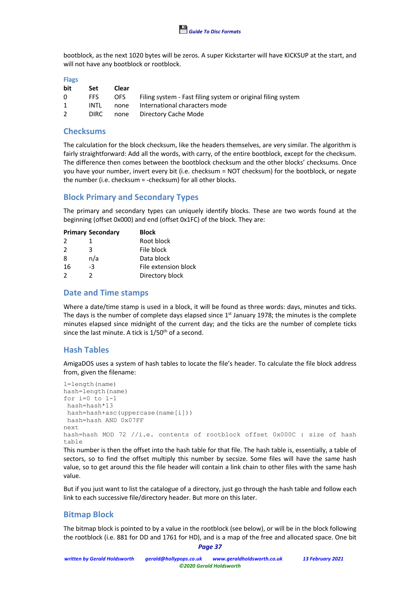bootblock, as the next 1020 bytes will be zeros. A super Kickstarter will have KICKSUP at the start, and will not have any bootblock or rootblock.

| Set         | Clear |                                                              |
|-------------|-------|--------------------------------------------------------------|
| FFS.        |       | Filing system - Fast filing system or original filing system |
| INTI        | none  | International characters mode                                |
| <b>DIRC</b> |       | none Directory Cache Mode                                    |
|             |       | OFS                                                          |

# **Checksums**

The calculation for the block checksum, like the headers themselves, are very similar. The algorithm is fairly straightforward: Add all the words, with carry, of the entire bootblock, except for the checksum. The difference then comes between the bootblock checksum and the other blocks' checksums. Once you have your number, invert every bit (i.e. checksum = NOT checksum) for the bootblock, or negate the number (i.e. checksum = -checksum) for all other blocks.

# **Block Primary and Secondary Types**

The primary and secondary types can uniquely identify blocks. These are two words found at the beginning (offset 0x000) and end (offset 0x1FC) of the block. They are:

|               | <b>Primary Secondary</b> | <b>Block</b>         |  |  |  |  |
|---------------|--------------------------|----------------------|--|--|--|--|
| 2             |                          | Root block           |  |  |  |  |
| $\mathcal{P}$ | 3                        | File block           |  |  |  |  |
| 8             | n/a                      | Data block           |  |  |  |  |
| 16            | -3                       | File extension block |  |  |  |  |
| $\mathcal{L}$ | 2                        | Directory block      |  |  |  |  |

# **Date and Time stamps**

Where a date/time stamp is used in a block, it will be found as three words: days, minutes and ticks. The days is the number of complete days elapsed since  $1<sup>st</sup>$  January 1978; the minutes is the complete minutes elapsed since midnight of the current day; and the ticks are the number of complete ticks since the last minute. A tick is 1/50<sup>th</sup> of a second.

# **Hash Tables**

AmigaDOS uses a system of hash tables to locate the file's header. To calculate the file block address from, given the filename:

```
l=length(name)
hash=length(name)
for i=0 to l-1hash=hash*13
hash=hash+asc(uppercase(name[i]))
hash=hash AND 0x07FF
next
hash=hash MOD 72 //i.e. contents of rootblock offset 0x000C : size of hash
table
```
This number is then the offset into the hash table for that file. The hash table is, essentially, a table of sectors, so to find the offset multiply this number by secsize. Some files will have the same hash value, so to get around this the file header will contain a link chain to other files with the same hash value.

But if you just want to list the catalogue of a directory, just go through the hash table and follow each link to each successive file/directory header. But more on this later.

# **Bitmap Block**

*Page 37* The bitmap block is pointed to by a value in the rootblock (see below), or will be in the block following the rootblock (i.e. 881 for DD and 1761 for HD), and is a map of the free and allocated space. One bit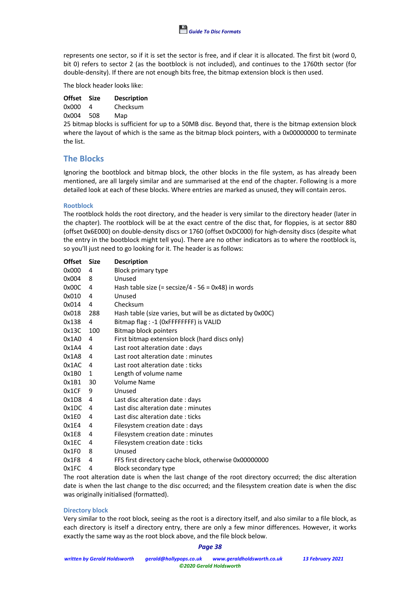

represents one sector, so if it is set the sector is free, and if clear it is allocated. The first bit (word 0, bit 0) refers to sector 2 (as the bootblock is not included), and continues to the 1760th sector (for double-density). If there are not enough bits free, the bitmap extension block is then used.

The block header looks like:

| Offset Size |     | <b>Description</b> |
|-------------|-----|--------------------|
| 0x000       | 4   | Checksum           |
| 0x004       | 508 | Map                |

25 bitmap blocks is sufficient for up to a 50MB disc. Beyond that, there is the bitmap extension block where the layout of which is the same as the bitmap block pointers, with a 0x00000000 to terminate the list.

# **The Blocks**

Ignoring the bootblock and bitmap block, the other blocks in the file system, as has already been mentioned, are all largely similar and are summarised at the end of the chapter. Following is a more detailed look at each of these blocks. Where entries are marked as unused, they will contain zeros.

#### **Rootblock**

The rootblock holds the root directory, and the header is very similar to the directory header (later in the chapter). The rootblock will be at the exact centre of the disc that, for floppies, is at sector 880 (offset 0x6E000) on double-density discs or 1760 (offset 0xDC000) for high-density discs (despite what the entry in the bootblock might tell you). There are no other indicators as to where the rootblock is, so you'll just need to go looking for it. The header is as follows:

| <b>Offset</b> | <b>Size</b> | <b>Description</b>                                         |
|---------------|-------------|------------------------------------------------------------|
| 0x000         | 4           | Block primary type                                         |
| 0x004         | 8           | Unused                                                     |
| 0x00C         | 4           | Hash table size (= secsize/4 - 56 = $0x48$ ) in words      |
| 0x010         | 4           | Unused                                                     |
| 0x014         | 4           | Checksum                                                   |
| 0x018         | 288         | Hash table (size varies, but will be as dictated by 0x00C) |
| 0x138         | 4           | Bitmap flag : -1 (OxFFFFFFFF) is VALID                     |
| 0x13C         | 100         | Bitmap block pointers                                      |
| 0x1A0         | 4           | First bitmap extension block (hard discs only)             |
| 0x1A4         | 4           | Last root alteration date: days                            |
| 0x1A8         | 4           | Last root alteration date: minutes                         |
| 0x1AC         | 4           | Last root alteration date: ticks                           |
| 0x1B0         | 1           | Length of volume name                                      |
| 0x1B1         | 30          | Volume Name                                                |
| 0x1CF         | 9           | Unused                                                     |
| 0x1D8         | 4           | Last disc alteration date: days                            |
| 0x1DC         | 4           | Last disc alteration date: minutes                         |
| 0x1E0         | 4           | Last disc alteration date: ticks                           |
| 0x1E4         | 4           | Filesystem creation date: days                             |
| 0x1E8         | 4           | Filesystem creation date: minutes                          |
| 0x1EC         | 4           | Filesystem creation date: ticks                            |
| 0x1F0         | 8           | Unused                                                     |
| 0x1F8         | 4           | FFS first directory cache block, otherwise 0x00000000      |
| 0x1FC         | 4           | Block secondary type                                       |

The root alteration date is when the last change of the root directory occurred; the disc alteration date is when the last change to the disc occurred; and the filesystem creation date is when the disc was originally initialised (formatted).

#### **Directory block**

Very similar to the root block, seeing as the root is a directory itself, and also similar to a file block, as each directory is itself a directory entry, there are only a few minor differences. However, it works exactly the same way as the root block above, and the file block below.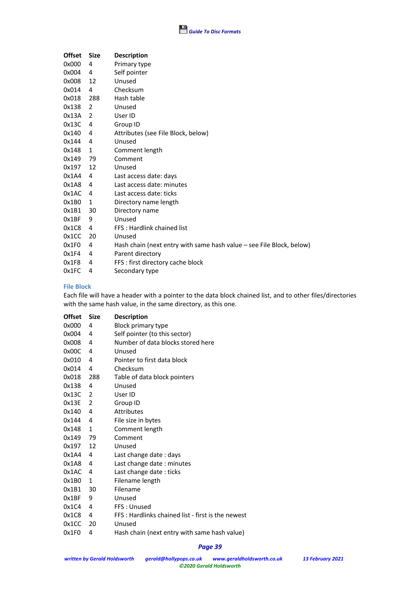| <b>Offset</b> | <b>Size</b> | <b>Description</b>                                                   |
|---------------|-------------|----------------------------------------------------------------------|
| 0x000         | 4           | Primary type                                                         |
| 0x004         | 4           | Self pointer                                                         |
| 0x008         | 12          | Unused                                                               |
| 0x014         | 4           | Checksum                                                             |
| 0x018         | 288         | Hash table                                                           |
| 0x138         | 2           | Unused                                                               |
| 0x13A         | 2           | User ID                                                              |
| 0x13C         | 4           | Group ID                                                             |
| 0x140         | 4           | Attributes (see File Block, below)                                   |
| 0x144         | 4           | Unused                                                               |
| 0x148         | 1           | Comment length                                                       |
| 0x149         | 79          | Comment                                                              |
| 0x197         | 12          | Unused                                                               |
| 0x1A4         | 4           | Last access date: days                                               |
| 0x1A8         | 4           | Last access date: minutes                                            |
| 0x1AC         | 4           | Last access date: ticks                                              |
| 0x1B0         | 1           | Directory name length                                                |
| 0x1B1         | 30          | Directory name                                                       |
| 0x1BF         | 9           | Unused                                                               |
| 0x1C8         | 4           | FFS: Hardlink chained list                                           |
| 0x1CC         | 20          | Unused                                                               |
| 0x1F0         | 4           | Hash chain (next entry with same hash value - see File Block, below) |
| 0x1F4         | 4           | Parent directory                                                     |
| 0x1F8         | 4           | FFS: first directory cache block                                     |
| 0x1FC         | 4           | Secondary type                                                       |

### **File Block**

Each file will have a header with a pointer to the data block chained list, and to other files/directories with the same hash value, in the same directory, as this one.

| <b>Offset</b> | <b>Size</b>  | <b>Description</b>                                         |
|---------------|--------------|------------------------------------------------------------|
| 0x000         | 4            | Block primary type                                         |
| 0x004         | 4            | Self pointer (to this sector)                              |
| 0x008         | 4            | Number of data blocks stored here                          |
| 0x00C         | 4            | Unused                                                     |
| 0x010         | 4            | Pointer to first data block                                |
| 0x014         | 4            | Checksum                                                   |
| 0x018         | 288          | Table of data block pointers                               |
| 0x138         | 4            | Unused                                                     |
| 0x13C         | 2            | User ID                                                    |
| 0x13E         | 2            | Group ID                                                   |
| 0x140         | 4            | <b>Attributes</b>                                          |
| 0x144         | 4            | File size in bytes                                         |
| 0x148         | 1            | Comment length                                             |
| 0x149         | 79           | Comment                                                    |
| 0x197         | 12           | Unused                                                     |
| 0x1A4         | 4            | Last change date : days                                    |
| 0x1A8         | 4            | Last change date: minutes                                  |
| 0x1AC         | 4            | Last change date : ticks                                   |
| 0x1B0         | 1            | Filename length                                            |
| 0x1B1         | 30           | Filename                                                   |
| 0x1BF         | 9            | Unused                                                     |
| 0x1C4         | 4            | FFS: Unused                                                |
| 0x1C8         | 4            | FFS : Hardlinks chained list - first is the newest         |
| 0x1CC         | 20           | Unused                                                     |
| 0.04E0        | $\mathbf{A}$ | المرزامن وامموا ممومم والشرب بسلوم للرزمون وشموام واممرارا |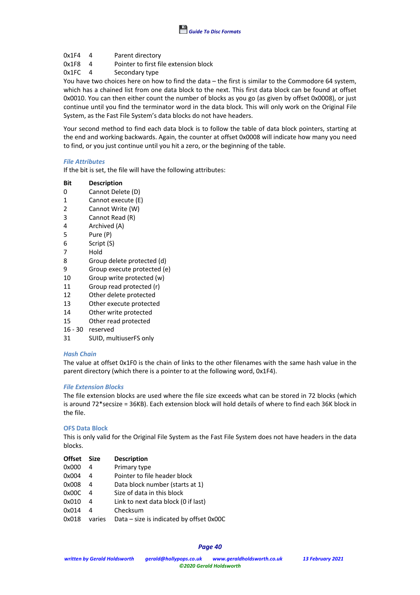- 0x1F4 4 Parent directory
- 0x1F8 4 Pointer to first file extension block<br>0x1FC 4 Secondary type
- Secondary type

You have two choices here on how to find the data – the first is similar to the Commodore 64 system, which has a chained list from one data block to the next. This first data block can be found at offset 0x0010. You can then either count the number of blocks as you go (as given by offset 0x0008), or just continue until you find the terminator word in the data block. This will only work on the Original File System, as the Fast File System's data blocks do not have headers.

Your second method to find each data block is to follow the table of data block pointers, starting at the end and working backwards. Again, the counter at offset 0x0008 will indicate how many you need to find, or you just continue until you hit a zero, or the beginning of the table.

#### *File Attributes*

If the bit is set, the file will have the following attributes:

#### **Bit Description**

- 0 Cannot Delete (D)
- 1 Cannot execute (E)
- 2 Cannot Write (W)
- 3 Cannot Read (R)
- 4 Archived (A)
- 5 Pure (P)
- 6 Script (S)
- 7 Hold
- 8 Group delete protected (d)
- 9 Group execute protected (e)
- 10 Group write protected (w)
- 11 Group read protected (r)
- 12 Other delete protected
- 13 Other execute protected
- 14 Other write protected
- 15 Other read protected
- 16 30 reserved
- 
- 31 SUID, multiuserFS only

#### *Hash Chain*

The value at offset 0x1F0 is the chain of links to the other filenames with the same hash value in the parent directory (which there is a pointer to at the following word, 0x1F4).

#### *File Extension Blocks*

The file extension blocks are used where the file size exceeds what can be stored in 72 blocks (which is around 72\*secsize = 36KB). Each extension block will hold details of where to find each 36K block in the file.

#### **OFS Data Block**

This is only valid for the Original File System as the Fast File System does not have headers in the data blocks.

| <b>Offset</b> | Size   | <b>Description</b>                           |
|---------------|--------|----------------------------------------------|
| 0x000         | 4      | Primary type                                 |
| 0x004         | 4      | Pointer to file header block                 |
| 0x008         | 4      | Data block number (starts at 1)              |
| 0x00C         | 4      | Size of data in this block                   |
| 0x010         | 4      | Link to next data block (0 if last)          |
| 0x014         | 4      | Checksum                                     |
| 0x018         | varies | Data $-$ size is indicated by offset $0x00C$ |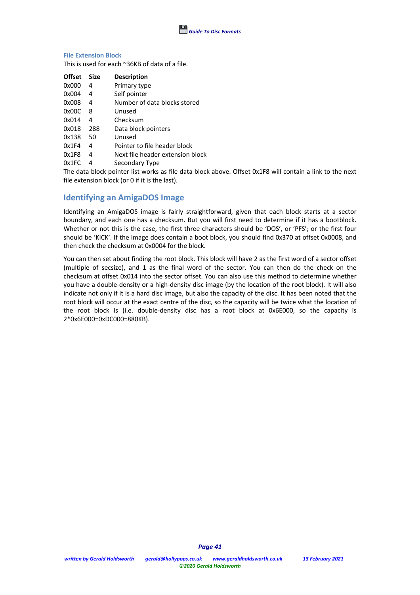

### **File Extension Block**

This is used for each ~36KB of data of a file.

| <b>Offset</b> | <b>Size</b> | <b>Description</b>               |
|---------------|-------------|----------------------------------|
| 0x000         | 4           | Primary type                     |
| 0x004         | 4           | Self pointer                     |
| 0x008         | 4           | Number of data blocks stored     |
| 0x00C         | 8           | Unused                           |
| 0x014         | 4           | Checksum                         |
| 0x018         | 288         | Data block pointers              |
| 0x138         | 50          | Unused                           |
| 0x1F4         | 4           | Pointer to file header block     |
| 0x1F8         | 4           | Next file header extension block |
| 0x1FC         | 4           | Secondary Type                   |

The data block pointer list works as file data block above. Offset 0x1F8 will contain a link to the next file extension block (or 0 if it is the last).

# **Identifying an AmigaDOS Image**

Identifying an AmigaDOS image is fairly straightforward, given that each block starts at a sector boundary, and each one has a checksum. But you will first need to determine if it has a bootblock. Whether or not this is the case, the first three characters should be 'DOS', or 'PFS'; or the first four should be 'KICK'. If the image does contain a boot block, you should find 0x370 at offset 0x0008, and then check the checksum at 0x0004 for the block.

You can then set about finding the root block. This block will have 2 as the first word of a sector offset (multiple of secsize), and 1 as the final word of the sector. You can then do the check on the checksum at offset 0x014 into the sector offset. You can also use this method to determine whether you have a double-density or a high-density disc image (by the location of the root block). It will also indicate not only if it is a hard disc image, but also the capacity of the disc. It has been noted that the root block will occur at the exact centre of the disc, so the capacity will be twice what the location of the root block is (i.e. double-density disc has a root block at 0x6E000, so the capacity is 2\*0x6E000=0xDC000=880KB).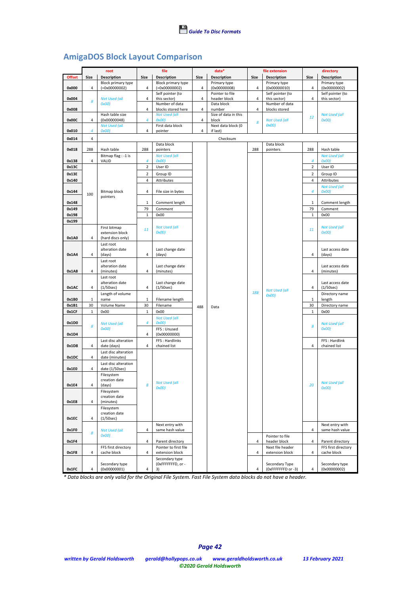# **AmigaDOS Block Layout Comparison**

|               |              | file<br>root                           |                | data*                                    |                | file extension       |      | directory                           |                |                                    |
|---------------|--------------|----------------------------------------|----------------|------------------------------------------|----------------|----------------------|------|-------------------------------------|----------------|------------------------------------|
| <b>Offset</b> | Size         | <b>Description</b>                     | Size           | Description                              | Size           | <b>Description</b>   | Size | <b>Description</b>                  | Size           | <b>Description</b>                 |
|               |              | Block primary type                     |                | Block primary type                       |                | Primary type         |      | Primary type                        |                | Primary type                       |
| 0x000         | 4            | $(=0x00000002)$                        | 4              | $(=0x00000002)$                          | $\overline{4}$ | (0x00000008)         | 4    | (0x00000010)                        | 4              | (0x00000002)                       |
|               |              |                                        |                | Self pointer (to                         |                | Pointer to file      |      | Self pointer (to                    |                | Self pointer (to                   |
| 0x004         | 8            | <b>Not Used (all</b>                   | 4              | this sector)                             | 4              | header block         | 4    | this sector)                        | 4              | this sector)                       |
| 0x008         |              | OxOO                                   | 4              | Number of data<br>blocks stored here     | 4              | Data block<br>number | 4    | Number of data<br>blocks stored     |                |                                    |
|               |              | Hash table size                        |                | <b>Not Used (all</b>                     |                | Size of data in this |      |                                     |                | <b>Not Used (all</b>               |
| 0x00C         | 4            | (0x00000048)                           | 4              | OxOO                                     | 4              | block                |      | <b>Not Used (all</b>                | 12             | OxOO                               |
|               |              | <b>Not Used (all</b>                   |                | First data block                         |                | Next data block (0   | 8    | OxOO                                |                |                                    |
| 0x010         | 4            | OxOO                                   | $\overline{4}$ | pointer                                  | $\overline{4}$ | if last)             |      |                                     |                |                                    |
| 0x014         | 4            |                                        |                |                                          |                | Checksum             |      |                                     |                |                                    |
|               |              |                                        |                | Data block                               |                |                      |      | Data block                          |                |                                    |
| 0x018         | 288          | Hash table                             | 288            | pointers                                 |                |                      | 288  | pointers                            | 288            | Hash table                         |
|               |              | Bitmap flag : -1 is                    |                | <b>Not Used (all</b>                     |                |                      |      |                                     |                | <b>Not Used (all</b>               |
| 0x138         | 4            | VALID                                  | 4              | OxOO                                     |                |                      |      |                                     | 4              | OxOO                               |
| 0x13C         |              |                                        | $\mathbf 2$    | User ID                                  |                |                      |      |                                     | $\overline{2}$ | User ID                            |
| 0x13E         |              |                                        | $\overline{2}$ | Group ID                                 |                |                      |      |                                     | $\overline{2}$ | Group ID                           |
| 0x140         |              |                                        | 4              | Attributes                               |                |                      |      |                                     | $\overline{4}$ | Attributes                         |
|               |              |                                        |                |                                          |                |                      |      |                                     |                | <b>Not Used (all</b>               |
| 0x144         | 100          | Bitmap block<br>pointers               | 4              | File size in bytes                       |                |                      |      |                                     | $\overline{4}$ | 0x00)                              |
| 0x148         |              |                                        | $\mathbf 1$    | Comment length                           |                |                      |      |                                     | 1              | Comment length                     |
| 0x149         |              |                                        | 79             | Comment                                  |                |                      |      |                                     | 79             | Comment                            |
| 0x198         |              |                                        | $\mathbf{1}$   | 0x00                                     |                |                      |      |                                     | $\,1\,$        | 0x00                               |
| 0x199         |              |                                        |                |                                          |                |                      |      |                                     |                |                                    |
|               |              | First bitmap                           | 11             | <b>Not Used (all</b>                     |                |                      |      |                                     | 11             | <b>Not Used (all</b>               |
|               |              | extension block                        |                | 0x00)                                    |                |                      |      |                                     |                | OxOO                               |
| 0x1A0         | 4            | (hard discs only)                      |                |                                          |                |                      |      |                                     |                |                                    |
|               |              | Last root                              |                |                                          |                |                      |      |                                     |                |                                    |
| 0x1A4         | 4            | alteration date<br>(days)              | 4              | Last change date<br>(days)               |                |                      |      |                                     | $\overline{4}$ | Last access date<br>(days)         |
|               |              | Last root                              |                |                                          |                |                      |      |                                     |                |                                    |
|               |              | alteration date                        |                | Last change date                         |                |                      |      |                                     |                | Last access date                   |
| 0x1A8         | 4            | (minutes)                              | 4              | (minutes)                                |                |                      |      |                                     | 4              | (minutes)                          |
|               |              | Last root                              |                |                                          |                |                      |      |                                     |                |                                    |
|               |              | alteration date                        |                | Last change date                         |                |                      |      |                                     |                | Last access date                   |
| 0x1AC         | 4            | (1/50sec)<br>Length of volume          | $\overline{4}$ | (1/50sec)                                |                |                      | 188  | <b>Not Used (all</b>                | 4              | (1/50sec)<br>Directory name        |
| 0x1B0         | 1            | name                                   | 1              | Filename length                          |                |                      |      | OxOO                                | 1              | length                             |
| 0x1B1         | 30           | Volume Name                            | 30             | Filename                                 | 488            | Data                 |      |                                     | 30             | Directory name                     |
| 0x1CF         | $\mathbf{1}$ | 0x00                                   | $1\,$          | 0x00                                     |                |                      |      |                                     | 1              | 0x00                               |
|               |              |                                        |                | <b>Not Used (all</b>                     |                |                      |      |                                     |                |                                    |
| 0x1D0         | 8            | <b>Not Used (all</b>                   | 4              | 0x00)                                    |                |                      |      |                                     | 8              | <b>Not Used (all</b>               |
|               |              | OxOO                                   |                | FFS: Unused                              |                |                      |      |                                     |                | 0x00)                              |
| 0x1D4         |              |                                        | $\overline{a}$ | (0x00000000)                             |                |                      |      |                                     |                |                                    |
|               |              | Last disc alteration                   |                | FFS: Hardlinks                           |                |                      |      |                                     |                | FFS: Hardlink                      |
| 0x1D8         | 4            | date (days)                            | 4              | chained list                             |                |                      |      |                                     | $\overline{4}$ | chained list                       |
| 0x1DC         | 4            | Last disc alteration<br>date (minutes) |                |                                          |                |                      |      |                                     |                |                                    |
|               |              | Last disc alteration                   |                |                                          |                |                      |      |                                     |                |                                    |
| 0x1E0         | 4            | date (1/50sec)                         |                |                                          |                |                      |      |                                     |                |                                    |
|               |              | Filesystem                             |                |                                          |                |                      |      |                                     |                |                                    |
|               |              | creation date                          |                | <b>Not Used (all</b>                     |                |                      |      |                                     |                | Not Used (all                      |
| 0x1E4         | 4            | (days)                                 | 8              | 0x00)                                    |                |                      |      |                                     | 20             | OxOO                               |
|               |              | Filesystem                             |                |                                          |                |                      |      |                                     |                |                                    |
| 0x1E8         | 4            | creation date<br>(minutes)             |                |                                          |                |                      |      |                                     |                |                                    |
|               |              | Filesystem                             |                |                                          |                |                      |      |                                     |                |                                    |
|               |              | creation date                          |                |                                          |                |                      |      |                                     |                |                                    |
| 0x1EC         | 4            | (1/50sec)                              |                |                                          |                |                      |      |                                     |                |                                    |
|               |              |                                        |                | Next entry with                          |                |                      |      |                                     |                | Next entry with                    |
| 0x1F0         | 8            | <b>Not Used (all</b>                   | 4              | same hash value                          |                |                      |      |                                     | 4              | same hash value                    |
|               |              | OxOO                                   |                |                                          |                |                      |      | Pointer to file                     |                |                                    |
| 0x1F4         |              |                                        | 4              | Parent directory                         |                |                      | 4    | header block                        | 4              | Parent directory                   |
| 0x1F8         | 4            | FFS first directory<br>cache block     | 4              | Pointer to first file<br>extension block |                |                      | 4    | Next file header<br>extension block | 4              | FFS first directory<br>cache block |
|               |              |                                        |                | Secondary type                           |                |                      |      |                                     |                |                                    |
|               |              | Secondary type                         |                | (OxFFFFFFFD, or -                        |                |                      |      | Secondary Type                      |                | Secondary type                     |
| 0x1FC         | 4            | (0x00000001)                           | 4              | 3)                                       |                |                      | 4    | (OxFFFFFFFD or -3)                  | 4              | (0x00000002)                       |

*\* Data blocks are only valid for the Original File System. Fast File System data blocks do not have a header.*

*©2020 Gerald Holdsworth*